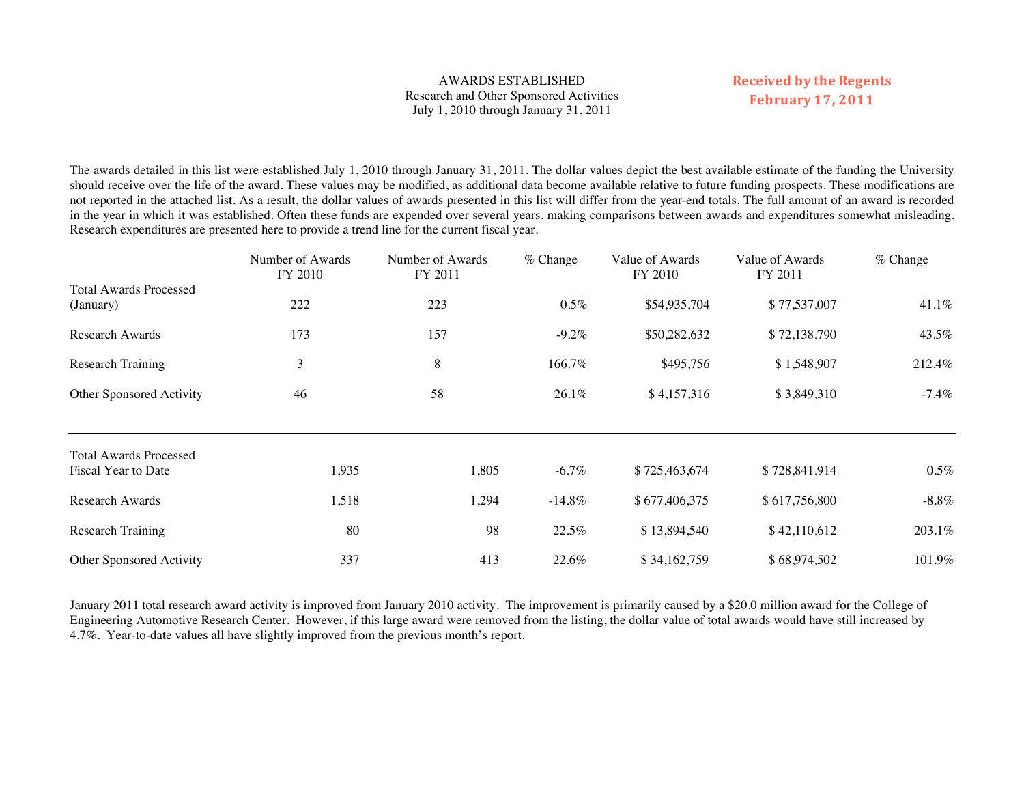# AWARDS ESTABLISHED Research and Other Sponsored Activities July 1, 2010 through January 31, 2011

# **Received by the Regents February 17, 2011**

The awards detailed in this list were established July 1, 2010 through January 31, 2011. The dollar values depict the best available estimate of the funding the University should receive over the life of the award. These values may be modified, as additional data become available relative to future funding prospects. These modifications are not reported in the attached list. As a result, the dollar values of awards presented in this list will differ from the year-end totals. The full amount of an award is recorded in the year in which it was established. Often these funds are expended over several years, making comparisons between awards and expenditures somewhat misleading. Research expenditures are presented here to provide a trend line for the current fiscal year.

|                                                      | Number of Awards<br>FY 2010 | Number of Awards<br>FY 2011 | $%$ Change | Value of Awards<br>FY 2010 | Value of Awards<br>FY 2011 | $%$ Change |
|------------------------------------------------------|-----------------------------|-----------------------------|------------|----------------------------|----------------------------|------------|
| <b>Total Awards Processed</b>                        |                             |                             |            |                            |                            |            |
| (January)                                            | 222                         | 223                         | $0.5\%$    | \$54,935,704               | \$77,537,007               | 41.1%      |
| Research Awards                                      | 173                         | 157                         | $-9.2\%$   | \$50,282,632               | \$72,138,790               | 43.5%      |
| <b>Research Training</b>                             | 3                           | 8                           | 166.7%     | \$495,756                  | \$1,548,907                | 212.4%     |
| Other Sponsored Activity                             | 46                          | 58                          | 26.1%      | \$4,157,316                | \$3,849,310                | $-7.4%$    |
| <b>Total Awards Processed</b><br>Fiscal Year to Date | 1,935                       | 1,805                       | $-6.7\%$   | \$725,463,674              | \$728,841,914              | $0.5\%$    |
| Research Awards                                      | 1,518                       | 1,294                       | $-14.8\%$  | \$677,406,375              | \$617,756,800              | $-8.8\%$   |
|                                                      |                             |                             |            |                            |                            |            |
| <b>Research Training</b>                             | 80                          | 98                          | 22.5%      | \$13,894,540               | \$42,110,612               | 203.1%     |
| Other Sponsored Activity                             | 337                         | 413                         | 22.6%      | \$34,162,759               | \$68,974,502               | 101.9%     |

January 2011 total research award activity is improved from January 2010 activity. The improvement is primarily caused by a \$20.0 million award for the College of Engineering Automotive Research Center. However, if this large award were removed from the listing, the dollar value of total awards would have still increased by 4.7%. Year-to-date values all have slightly improved from the previous month's report.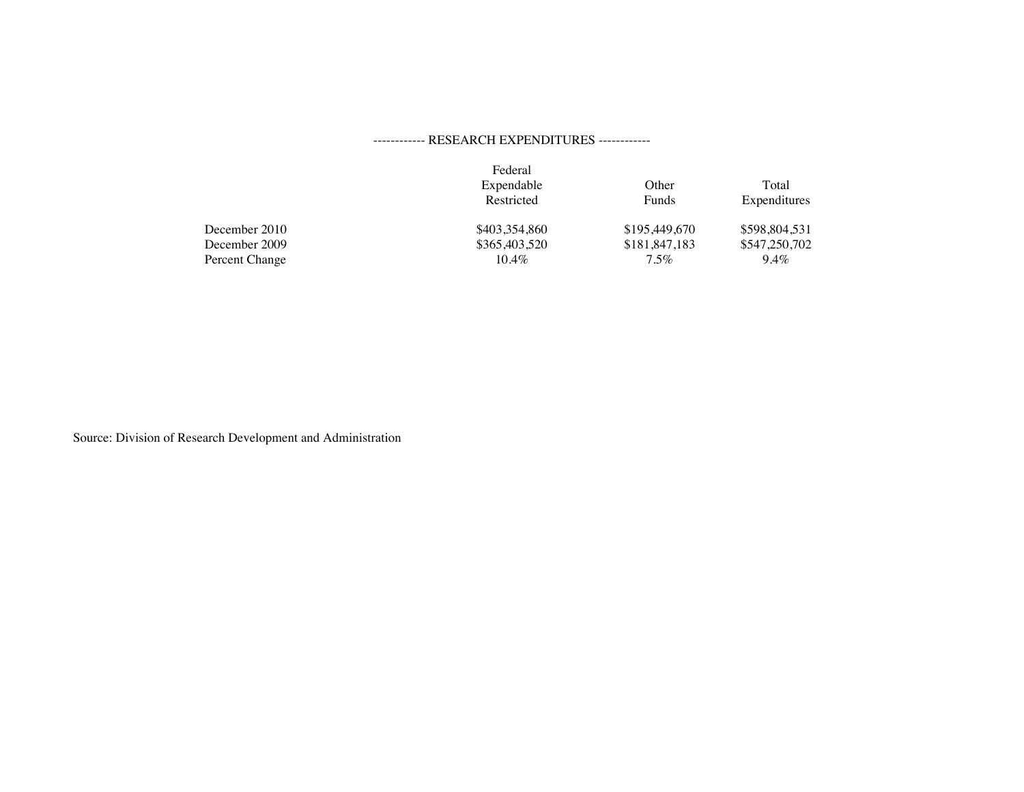# ------------ RESEARCH EXPENDITURES ------------

|                | Federal<br>Expendable<br>Restricted | Other<br><b>Funds</b> | Total<br>Expenditures |
|----------------|-------------------------------------|-----------------------|-----------------------|
| December 2010  | \$403,354,860                       | \$195,449,670         | \$598,804,531         |
| December 2009  | \$365,403,520                       | \$181,847,183         | \$547,250,702         |
| Percent Change | $10.4\%$                            | 7.5%                  | $9.4\%$               |

Source: Division of Research Development and Administration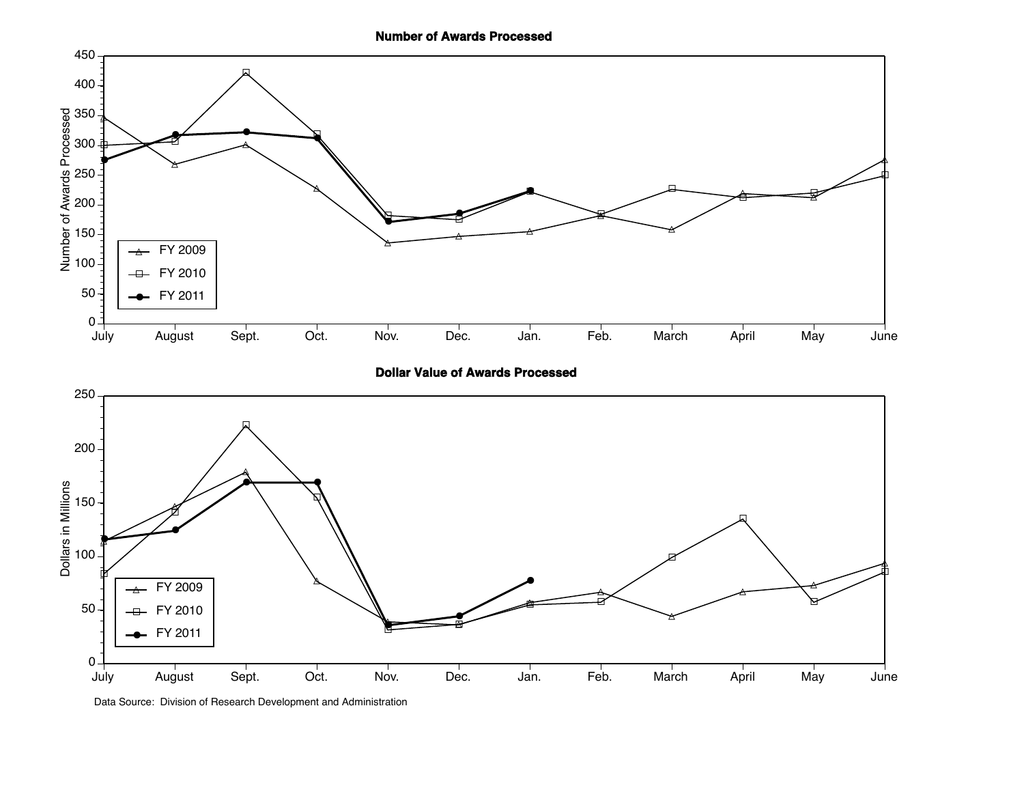

**Dollar Value of Awards Processed**



Data Source: Division of Research Development and Administration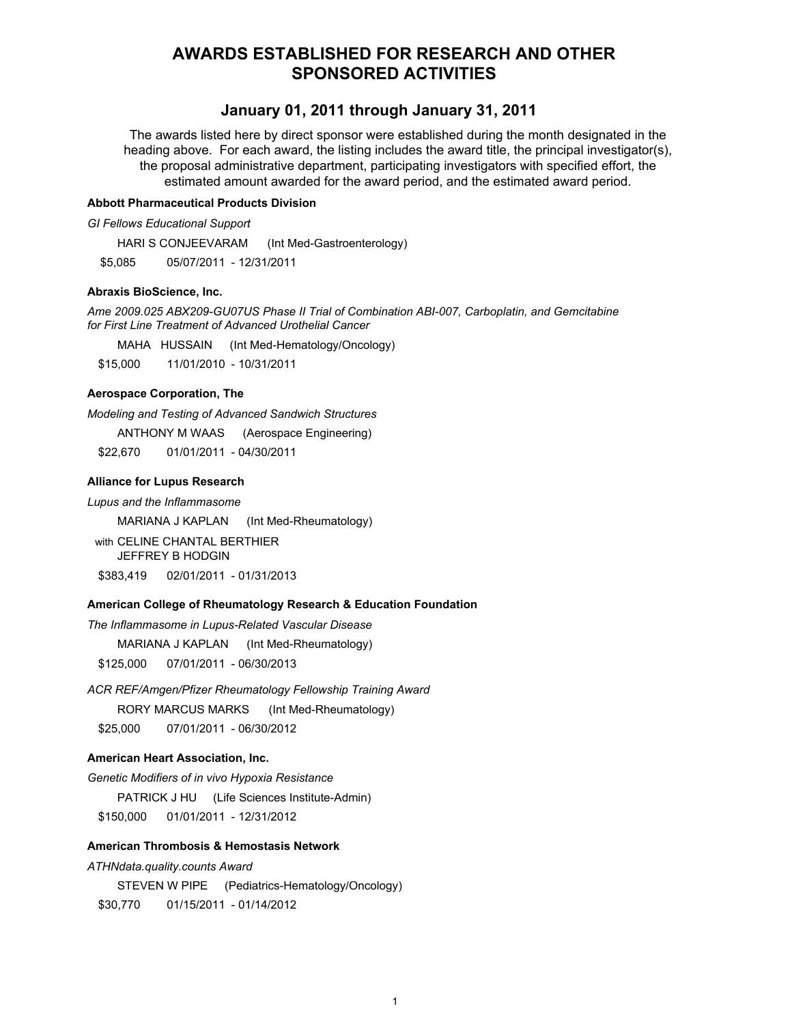# **AWARDS ESTABLISHED FOR RESEARCH AND OTHER SPONSORED ACTIVITIES**

# January 01, 2011 through January 31, 2011

The awards listed here by direct sponsor were established during the month designated in the heading above. For each award, the listing includes the award title, the principal investigator(s), the proposal administrative department, participating investigators with specified effort, the estimated amount awarded for the award period, and the estimated award period.

#### **Abbott Pharmaceutical Products Division**

**GI Fellows Educational Support** 

HARI S CONJEEVARAM (Int Med-Gastroenterology)

\$5.085 05/07/2011 - 12/31/2011

# **Abraxis BioScience, Inc.**

Ame 2009.025 ABX209-GU07US Phase II Trial of Combination ABI-007, Carboplatin, and Gemcitabine for First Line Treatment of Advanced Urothelial Cancer

MAHA HUSSAIN (Int Med-Hematology/Oncology)

\$15,000 11/01/2010 - 10/31/2011

### **Aerospace Corporation, The**

Modeling and Testing of Advanced Sandwich Structures

ANTHONY M WAAS (Aerospace Engineering)

\$22,670 01/01/2011 - 04/30/2011

# **Alliance for Lupus Research**

Lupus and the Inflammasome

MARIANA J KAPLAN (Int Med-Rheumatology)

with CELINE CHANTAL BERTHIER JEFFREY B HODGIN \$383,419 02/01/2011 - 01/31/2013

# American College of Rheumatology Research & Education Foundation

The Inflammasome in Lupus-Related Vascular Disease

MARIANA J KAPLAN (Int Med-Rheumatology)

\$125,000 07/01/2011 - 06/30/2013

ACR REF/Amgen/Pfizer Rheumatology Fellowship Training Award

**RORY MARCUS MARKS** (Int Med-Rheumatology)

07/01/2011 - 06/30/2012 \$25,000

### American Heart Association, Inc.

Genetic Modifiers of in vivo Hypoxia Resistance PATRICK J HU (Life Sciences Institute-Admin) \$150,000 01/01/2011 - 12/31/2012

# **American Thrombosis & Hemostasis Network**

#### ATHNdata.quality.counts Award

STEVEN W PIPE (Pediatrics-Hematology/Oncology)

01/15/2011 - 01/14/2012 \$30,770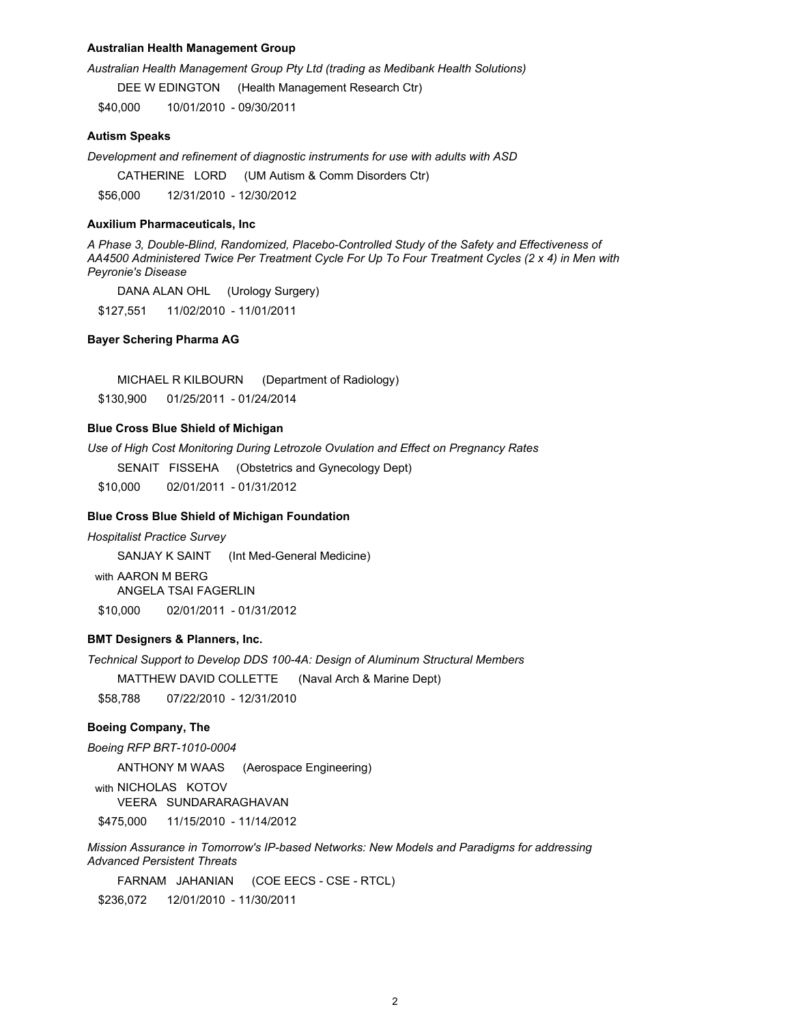#### **Australian Health Management Group**

Australian Health Management Group Pty Ltd (trading as Medibank Health Solutions)

DEE W EDINGTON (Health Management Research Ctr)

\$40,000 10/01/2010 - 09/30/2011

#### **Autism Speaks**

Development and refinement of diagnostic instruments for use with adults with ASD

CATHERINE LORD (UM Autism & Comm Disorders Ctr)

12/31/2010 - 12/30/2012 \$56,000

#### **Auxilium Pharmaceuticals, Inc.**

A Phase 3, Double-Blind, Randomized, Placebo-Controlled Study of the Safety and Effectiveness of AA4500 Administered Twice Per Treatment Cycle For Up To Four Treatment Cycles (2 x 4) in Men with Peyronie's Disease

DANA ALAN OHL (Urology Surgery) \$127.551 11/02/2010 - 11/01/2011

#### **Bayer Schering Pharma AG**

MICHAEL R KILBOURN (Department of Radiology)

\$130,900 01/25/2011 - 01/24/2014

# **Blue Cross Blue Shield of Michigan**

Use of High Cost Monitoring During Letrozole Ovulation and Effect on Pregnancy Rates

SENAIT FISSEHA (Obstetrics and Gynecology Dept)

\$10,000 02/01/2011 - 01/31/2012

#### **Blue Cross Blue Shield of Michigan Foundation**

**Hospitalist Practice Survey** 

SANJAY K SAINT (Int Med-General Medicine)

with AARON M BERG **ANGELA TSAI FAGERLIN** \$10,000 02/01/2011 - 01/31/2012

# **BMT Designers & Planners, Inc.**

Technical Support to Develop DDS 100-4A: Design of Aluminum Structural Members

MATTHEW DAVID COLLETTE (Naval Arch & Marine Dept)

\$58,788 07/22/2010 - 12/31/2010

## **Boeing Company, The**

Boeing RFP BRT-1010-0004

ANTHONY M WAAS (Aerospace Engineering)

with NICHOLAS KOTOV VEERA SUNDARARAGHAVAN \$475,000 11/15/2010 - 11/14/2012

Mission Assurance in Tomorrow's IP-based Networks: New Models and Paradigms for addressing **Advanced Persistent Threats** 

FARNAM JAHANIAN (COE EECS - CSE - RTCL)

\$236,072 12/01/2010 - 11/30/2011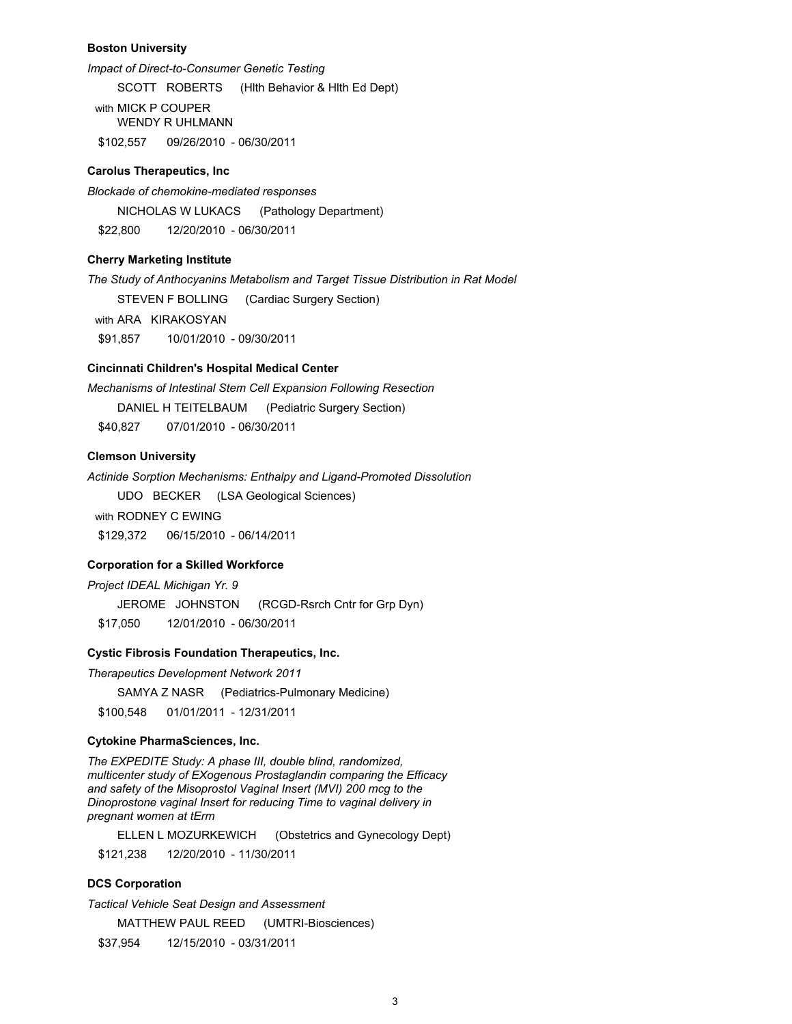#### **Boston University**

Impact of Direct-to-Consumer Genetic Testing

SCOTT ROBERTS (Hith Behavior & Hith Ed Dept)

with MICK P COUPER **WENDY R UHLMANN** \$102,557 09/26/2010 - 06/30/2011

#### **Carolus Therapeutics, Inc**

Blockade of chemokine-mediated responses

NICHOLAS W LUKACS (Pathology Department)

\$22,800 12/20/2010 - 06/30/2011

# **Cherry Marketing Institute**

The Study of Anthocyanins Metabolism and Target Tissue Distribution in Rat Model

**STEVEN F BOLLING** (Cardiac Surgery Section)

with ARA KIRAKOSYAN

\$91.857 10/01/2010 - 09/30/2011

### Cincinnati Children's Hospital Medical Center

Mechanisms of Intestinal Stem Cell Expansion Following Resection DANIEL H TEITELBAUM (Pediatric Surgery Section) 07/01/2010 - 06/30/2011 \$40.827

### **Clemson University**

Actinide Sorption Mechanisms: Enthalpy and Ligand-Promoted Dissolution

UDO BECKER (LSA Geological Sciences)

with RODNEY C FWING \$129.372 06/15/2010 - 06/14/2011

### **Corporation for a Skilled Workforce**

Project IDEAL Michigan Yr. 9

JEROME JOHNSTON (RCGD-Rsrch Cntr for Grp Dyn)

\$17,050 12/01/2010 - 06/30/2011

# **Cystic Fibrosis Foundation Therapeutics, Inc.**

Therapeutics Development Network 2011

SAMYA Z NASR (Pediatrics-Pulmonary Medicine)

\$100,548 01/01/2011 - 12/31/2011

# **Cytokine PharmaSciences, Inc.**

The EXPEDITE Study: A phase III, double blind, randomized, multicenter study of EXogenous Prostaglandin comparing the Efficacy and safety of the Misoprostol Vaginal Insert (MVI) 200 mcg to the Dinoprostone vaginal Insert for reducing Time to vaginal delivery in pregnant women at tErm

ELLEN L MOZURKEWICH (Obstetrics and Gynecology Dept) 12/20/2010 - 11/30/2011 \$121,238

### **DCS Corporation**

**Tactical Vehicle Seat Design and Assessment** MATTHEW PAUL REED (UMTRI-Biosciences) \$37,954 12/15/2010 - 03/31/2011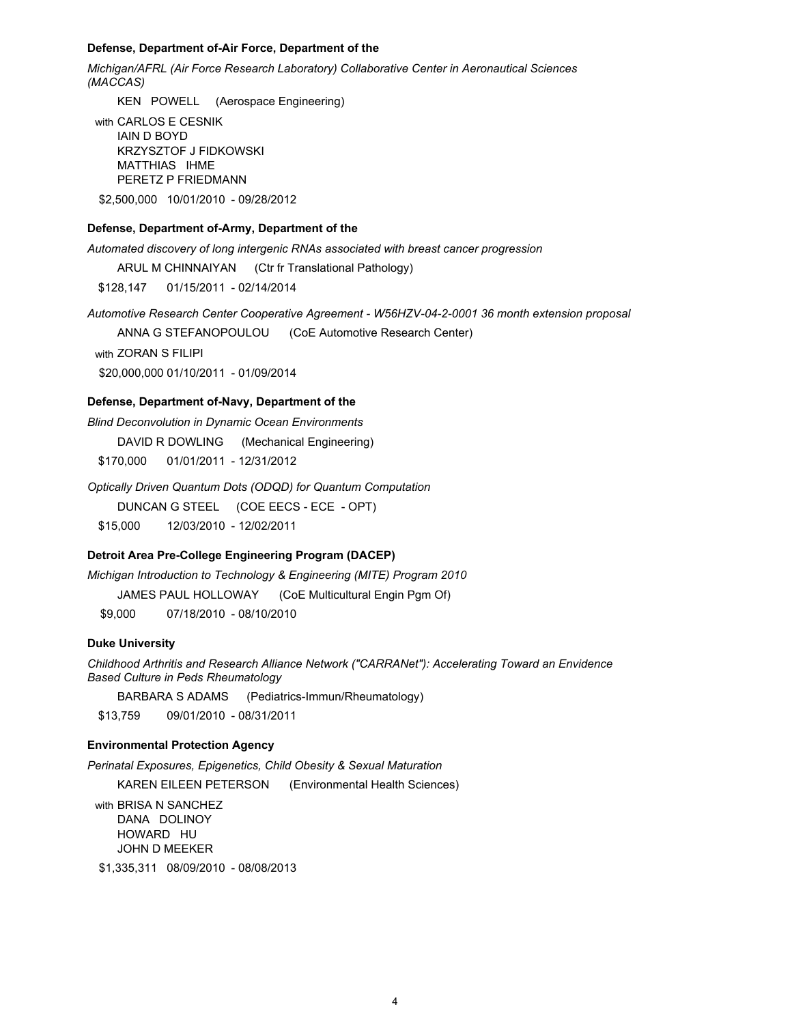#### Defense, Department of-Air Force, Department of the

Michigan/AFRL (Air Force Research Laboratory) Collaborative Center in Aeronautical Sciences (MACCAS)

KEN POWELL (Aerospace Engineering)

with CARLOS E CESNIK **IAIN D BOYD KRZYSZTOF J FIDKOWSKI** MATTHIAS IHME PERETZ P FRIEDMANN \$2.500.000 10/01/2010 - 09/28/2012

### Defense, Department of-Army, Department of the

Automated discovery of long intergenic RNAs associated with breast cancer progression

ARUL M CHINNAIYAN (Ctr fr Translational Pathology)

\$128,147 01/15/2011 - 02/14/2014

Automotive Research Center Cooperative Agreement - W56HZV-04-2-0001 36 month extension proposal

ANNA G STEFANOPOULOU (CoE Automotive Research Center)

with ZORAN S FILIPI

\$20,000,000 01/10/2011 - 01/09/2014

#### Defense, Department of-Navy, Department of the

**Blind Deconvolution in Dynamic Ocean Environments** DAVID R DOWLING (Mechanical Engineering) 01/01/2011 - 12/31/2012 \$170,000

Optically Driven Quantum Dots (ODQD) for Quantum Computation

DUNCAN G STEEL (COE EECS - ECE - OPT)

\$15,000 12/03/2010 - 12/02/2011

# Detroit Area Pre-College Engineering Program (DACEP)

Michigan Introduction to Technology & Engineering (MITE) Program 2010

JAMES PAUL HOLLOWAY (CoE Multicultural Engin Pgm Of)

\$9.000 07/18/2010 - 08/10/2010

#### **Duke University**

Childhood Arthritis and Research Alliance Network ("CARRANet"): Accelerating Toward an Envidence **Based Culture in Peds Rheumatology** 

**BARBARA S ADAMS** (Pediatrics-Immun/Rheumatology)

\$13,759 09/01/2010 - 08/31/2011

## **Environmental Protection Agency**

Perinatal Exposures, Epigenetics, Child Obesity & Sexual Maturation KAREN EILEEN PETERSON (Environmental Health Sciences)

with BRISA N SANCHEZ DANA DOLINOY HOWARD HU **JOHN D MEEKER** 

\$1,335,311 08/09/2010 - 08/08/2013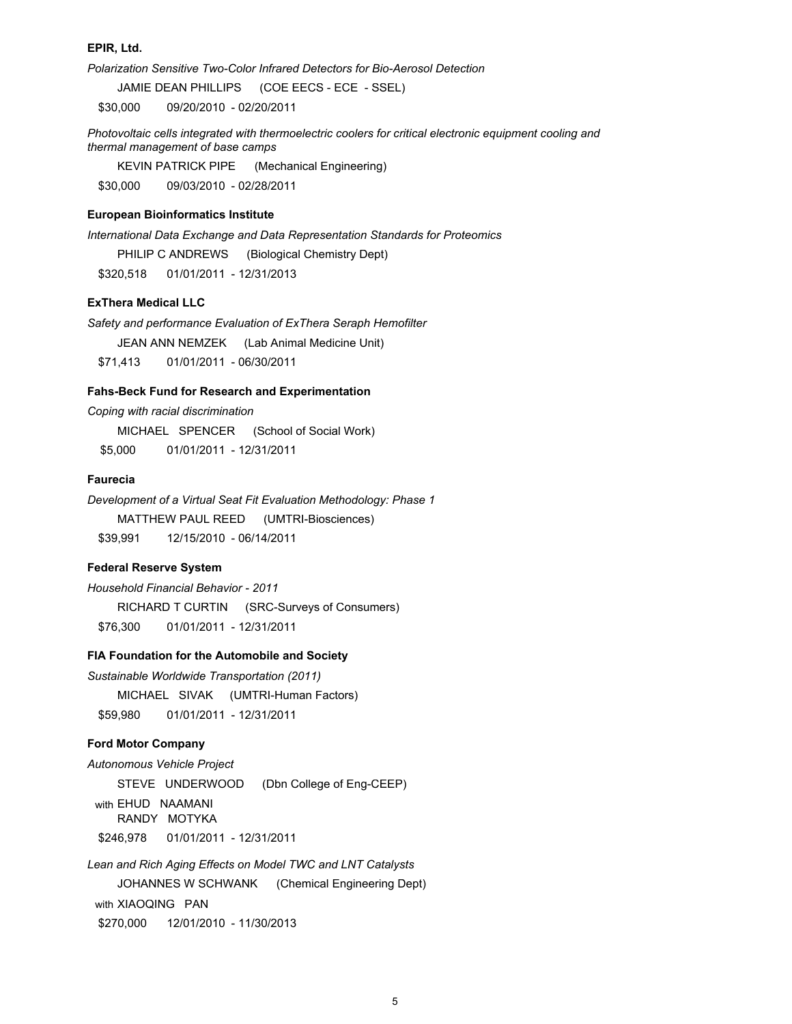#### EPIR, Ltd.

Polarization Sensitive Two-Color Infrared Detectors for Bio-Aerosol Detection

JAMIE DEAN PHILLIPS (COE EECS - ECE - SSEL)

\$30,000 09/20/2010 - 02/20/2011

Photovoltaic cells integrated with thermoelectric coolers for critical electronic equipment cooling and thermal management of base camps

**KEVIN PATRICK PIPE** (Mechanical Engineering) \$30,000 09/03/2010 - 02/28/2011

# **European Bioinformatics Institute**

International Data Exchange and Data Representation Standards for Proteomics

PHILIP C ANDREWS (Biological Chemistry Dept)

01/01/2011 - 12/31/2013 \$320.518

### **ExThera Medical LLC**

Safety and performance Evaluation of ExThera Seraph Hemofilter JEAN ANN NEMZEK (Lab Animal Medicine Unit) \$71.413 01/01/2011 - 06/30/2011

#### Fahs-Beck Fund for Research and Experimentation

Coping with racial discrimination

MICHAEL SPENCER (School of Social Work)

\$5.000 01/01/2011 - 12/31/2011

# **Faurecia**

Development of a Virtual Seat Fit Evaluation Methodology: Phase 1 MATTHEW PAUL REED (UMTRI-Biosciences) \$39,991 12/15/2010 - 06/14/2011

# **Federal Reserve System**

Household Financial Behavior - 2011 RICHARD T CURTIN (SRC-Surveys of Consumers) 01/01/2011 - 12/31/2011 \$76,300

# FIA Foundation for the Automobile and Society

Sustainable Worldwide Transportation (2011) MICHAEL SIVAK (UMTRI-Human Factors) 01/01/2011 - 12/31/2011 \$59,980

#### **Ford Motor Company**

Autonomous Vehicle Project STEVE UNDERWOOD (Dbn College of Eng-CEEP) with EHUD NAAMANI RANDY MOTYKA \$246,978 01/01/2011 - 12/31/2011

Lean and Rich Aging Effects on Model TWC and LNT Catalysts JOHANNES W SCHWANK (Chemical Engineering Dept) with XIAOQING PAN 12/01/2010 - 11/30/2013 \$270,000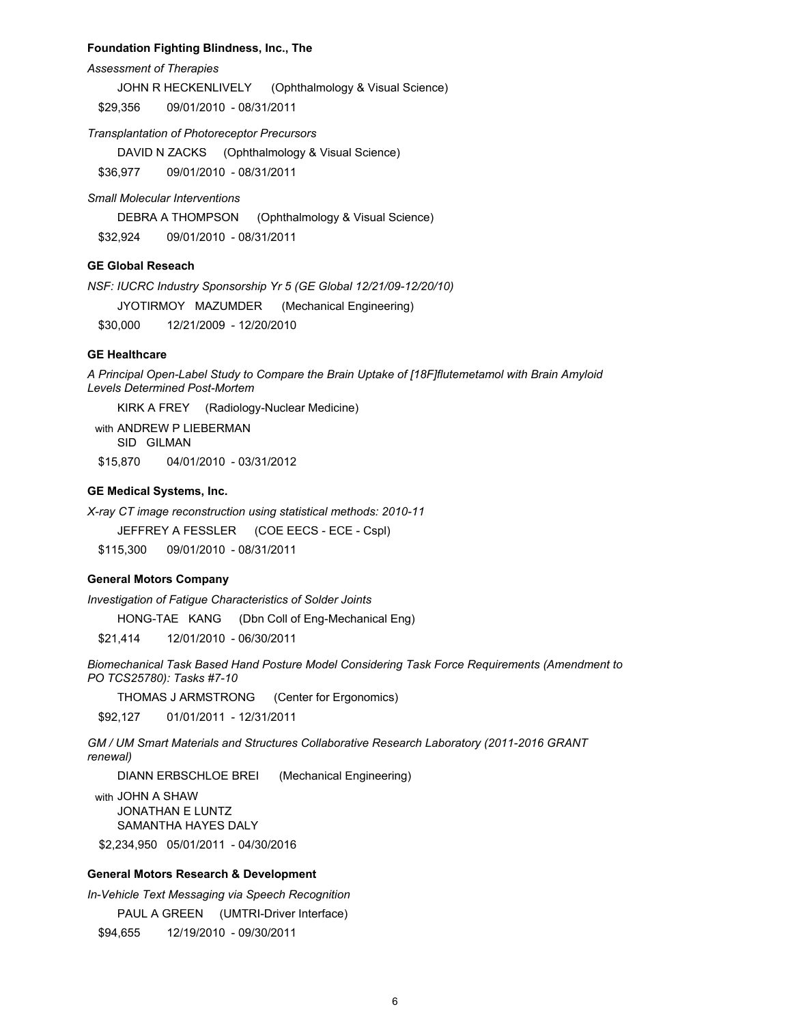### Foundation Fighting Blindness, Inc., The

#### **Assessment of Therapies**

JOHN R HECKENLIVELY (Ophthalmology & Visual Science)

09/01/2010 - 08/31/2011 \$29,356

#### Transplantation of Photoreceptor Precursors

DAVID N ZACKS (Ophthalmology & Visual Science)

09/01/2010 - 08/31/2011 \$36,977

### **Small Molecular Interventions**

DEBRA A THOMPSON (Ophthalmology & Visual Science)

\$32,924 09/01/2010 - 08/31/2011

# **GE Global Reseach**

NSF: IUCRC Industry Sponsorship Yr 5 (GE Global 12/21/09-12/20/10)

JYOTIRMOY MAZUMDER (Mechanical Engineering)

12/21/2009 - 12/20/2010 \$30,000

### **GE Healthcare**

A Principal Open-Label Study to Compare the Brain Uptake of [18F]flutemetamol with Brain Amyloid Levels Determined Post-Mortem

KIRK A FREY (Radiology-Nuclear Medicine)

with ANDREW P LIEBERMAN SID GILMAN \$15,870 04/01/2010 - 03/31/2012

#### **GE Medical Systems, Inc.**

X-ray CT image reconstruction using statistical methods: 2010-11

JEFFREY A FESSLER (COE EECS - ECE - Cspl)

\$115,300 09/01/2010 - 08/31/2011

#### **General Motors Company**

Investigation of Fatigue Characteristics of Solder Joints

HONG-TAE KANG (Dbn Coll of Eng-Mechanical Eng)

\$21.414 12/01/2010 - 06/30/2011

Biomechanical Task Based Hand Posture Model Considering Task Force Requirements (Amendment to PO TCS25780): Tasks #7-10

THOMAS J ARMSTRONG (Center for Ergonomics)

\$92,127 01/01/2011 - 12/31/2011

GM / UM Smart Materials and Structures Collaborative Research Laboratory (2011-2016 GRANT renewal)

DIANN ERBSCHLOE BREI (Mechanical Engineering)

with JOHN A SHAW JONATHAN E LUNTZ SAMANTHA HAYES DALY \$2,234,950 05/01/2011 - 04/30/2016

## **General Motors Research & Development**

In-Vehicle Text Messaging via Speech Recognition

PAUL A GREEN (UMTRI-Driver Interface)

12/19/2010 - 09/30/2011 \$94,655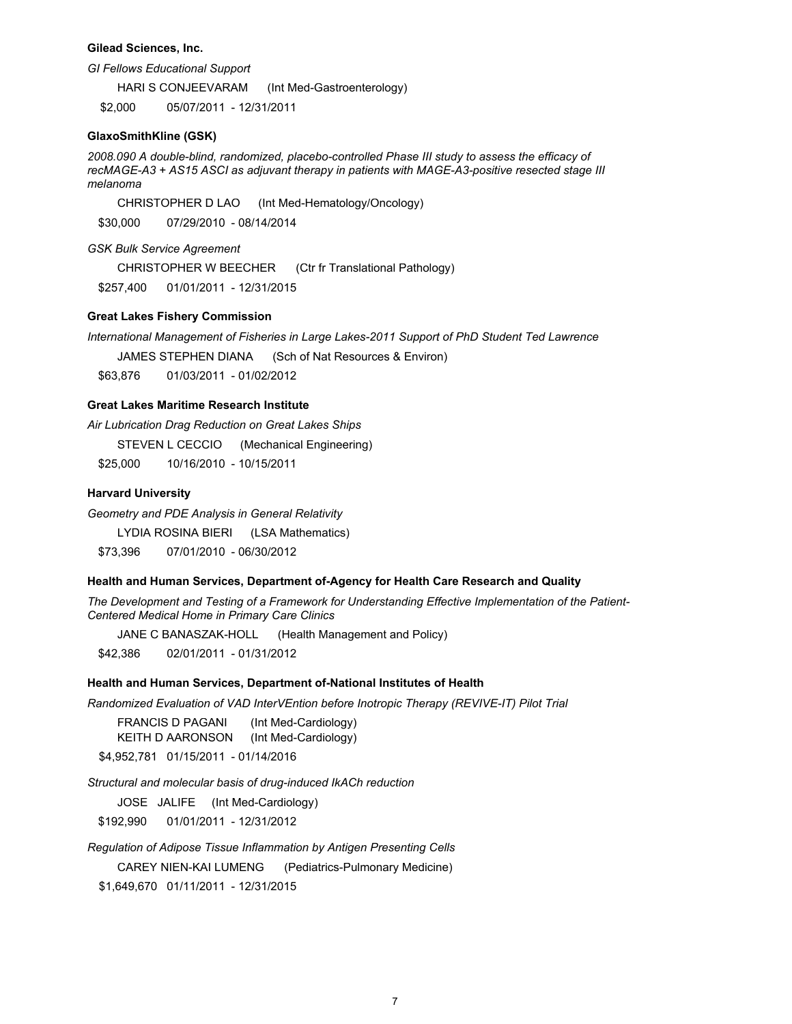#### **Gilead Sciences, Inc.**

**GI Fellows Educational Support** 

**HARI S CONJEEVARAM** (Int Med-Gastroenterology)

05/07/2011 - 12/31/2011 \$2,000

#### **GlaxoSmithKline (GSK)**

2008.090 A double-blind, randomized, placebo-controlled Phase III study to assess the efficacy of recMAGE-A3 + AS15 ASCI as adjuvant therapy in patients with MAGE-A3-positive resected stage III melanoma

(Int Med-Hematology/Oncology) CHRISTOPHER D LAO \$30,000 07/29/2010 - 08/14/2014

**GSK Bulk Service Agreement** 

**CHRISTOPHER W BEECHER** (Ctr fr Translational Pathology)

\$257.400 01/01/2011 - 12/31/2015

### **Great Lakes Fishery Commission**

International Management of Fisheries in Large Lakes-2011 Support of PhD Student Ted Lawrence

JAMES STEPHEN DIANA (Sch of Nat Resources & Environ)

01/03/2011 - 01/02/2012 \$63.876

### **Great Lakes Maritime Research Institute**

Air Lubrication Drag Reduction on Great Lakes Ships

STEVEN L CECCIO (Mechanical Engineering)

\$25,000 10/16/2010 - 10/15/2011

### **Harvard University**

Geometry and PDE Analysis in General Relativity

LYDIA ROSINA BIERI (LSA Mathematics)

\$73,396 07/01/2010 - 06/30/2012

#### Health and Human Services, Department of-Agency for Health Care Research and Quality

The Development and Testing of a Framework for Understanding Effective Implementation of the Patient-Centered Medical Home in Primary Care Clinics

JANE C BANASZAK-HOLL (Health Management and Policy)

\$42,386 02/01/2011 - 01/31/2012

# Health and Human Services, Department of-National Institutes of Health

Randomized Evaluation of VAD InterVEntion before Inotropic Therapy (REVIVE-IT) Pilot Trial

**FRANCIS D PAGANI** (Int Med-Cardiology) KEITH D AARONSON (Int Med-Cardiology)

\$4,952,781 01/15/2011 - 01/14/2016

Structural and molecular basis of drug-induced IkACh reduction

JOSE JALIFE (Int Med-Cardiology)

01/01/2011 - 12/31/2012 \$192,990

Regulation of Adipose Tissue Inflammation by Antigen Presenting Cells

**CAREY NIEN-KAI LUMENG** (Pediatrics-Pulmonary Medicine)

\$1,649,670 01/11/2011 - 12/31/2015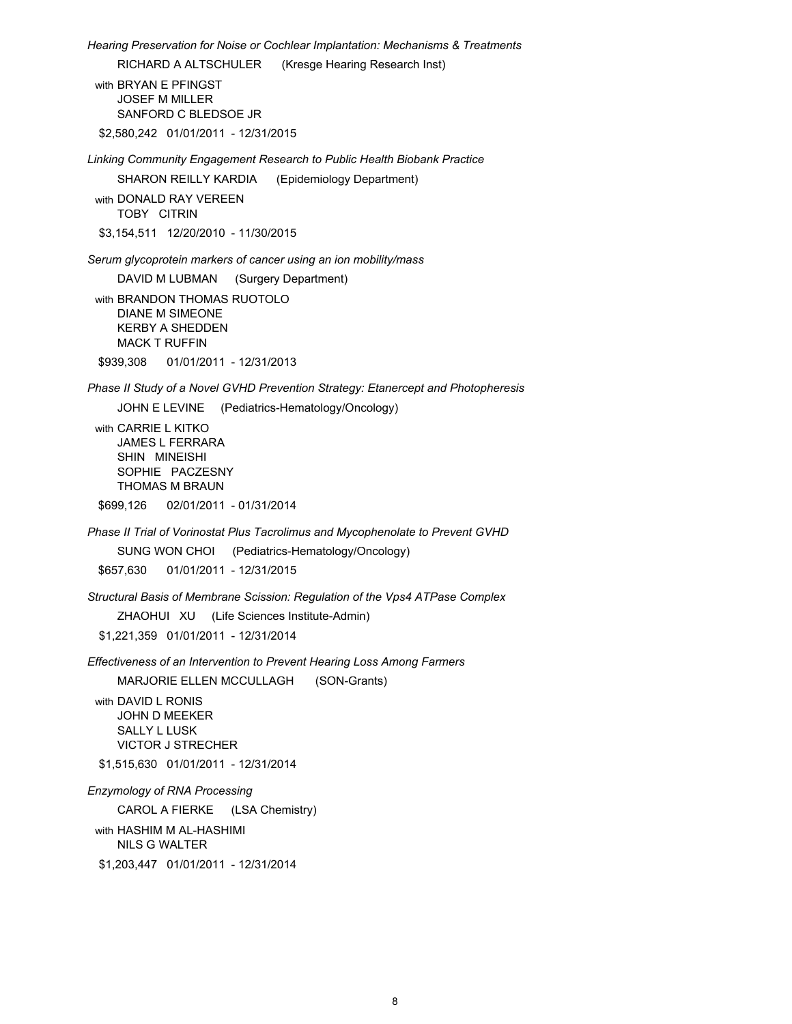Hearing Preservation for Noise or Cochlear Implantation: Mechanisms & Treatments

RICHARD A ALTSCHULER (Kresge Hearing Research Inst)

with BRYAN E PFINGST **JOSEF M MILLER** SANFORD C BLEDSOE JR

\$2.580.242 01/01/2011 - 12/31/2015

Linking Community Engagement Research to Public Health Biobank Practice

SHARON REILLY KARDIA (Epidemiology Department)

with DONALD RAY VEREEN TOBY CITRIN

\$3,154,511 12/20/2010 - 11/30/2015

Serum glycoprotein markers of cancer using an ion mobility/mass

DAVID M LUBMAN (Surgery Department)

with BRANDON THOMAS RUOTOLO **DIANE M SIMEONE KERBY A SHEDDEN MACK T RUFFIN** 

\$939.308 01/01/2011 - 12/31/2013

Phase II Study of a Novel GVHD Prevention Strategy: Etanercept and Photopheresis

JOHN E LEVINE (Pediatrics-Hematology/Oncology)

with CARRIE L KITKO JAMES L FERRARA SHIN MINEISHI SOPHIE PACZESNY THOMAS M BRAUN

\$699,126 02/01/2011 - 01/31/2014

Phase II Trial of Vorinostat Plus Tacrolimus and Mycophenolate to Prevent GVHD

SUNG WON CHOI (Pediatrics-Hematology/Oncology)

01/01/2011 - 12/31/2015 \$657,630

Structural Basis of Membrane Scission: Regulation of the Vps4 ATPase Complex

ZHAOHUI XU (Life Sciences Institute-Admin)

\$1.221.359 01/01/2011 - 12/31/2014

Effectiveness of an Intervention to Prevent Hearing Loss Among Farmers

MARJORIE ELLEN MCCULLAGH (SON-Grants)

with DAVID L RONIS JOHN D MEEKER **SALLY L LUSK VICTOR J STRECHER** 

\$1,515,630 01/01/2011 - 12/31/2014

**Enzymology of RNA Processing** 

CAROL A FIERKE (LSA Chemistry)

with HASHIM M AL-HASHIMI **NILS G WALTER** \$1,203,447 01/01/2011 - 12/31/2014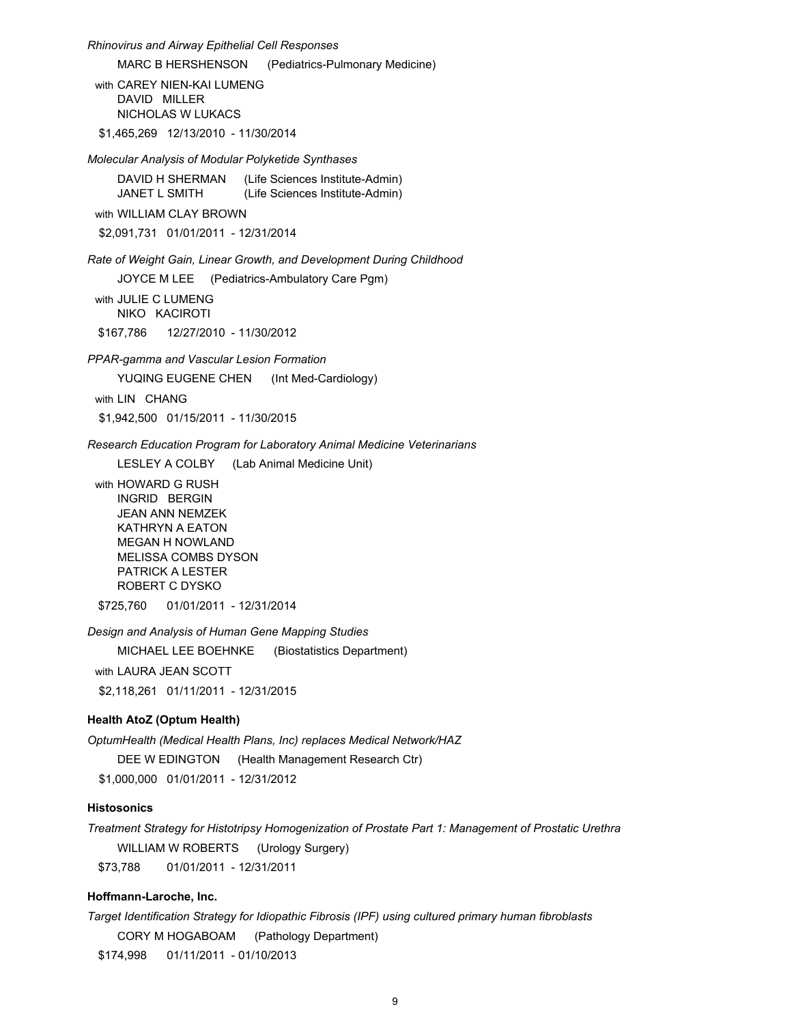Rhinovirus and Airway Epithelial Cell Responses **MARC B HERSHENSON** (Pediatrics-Pulmonary Medicine) with CAREY NIEN-KAI LUMENG DAVID MILLER NICHOLAS W LUKACS \$1.465.269 12/13/2010 - 11/30/2014 Molecular Analysis of Modular Polyketide Synthases DAVID H SHERMAN (Life Sciences Institute-Admin) JANET L SMITH (Life Sciences Institute-Admin) with WILLIAM CLAY BROWN \$2,091,731 01/01/2011 - 12/31/2014 Rate of Weight Gain, Linear Growth, and Development During Childhood JOYCE M LEE (Pediatrics-Ambulatory Care Pgm) with JULIE C LUMENG NIKO KACIROTI \$167,786 12/27/2010 - 11/30/2012 PPAR-gamma and Vascular Lesion Formation YUQING EUGENE CHEN (Int Med-Cardiology) with LIN CHANG \$1,942,500 01/15/2011 - 11/30/2015 Research Education Program for Laboratory Animal Medicine Veterinarians LESLEY A COLBY (Lab Animal Medicine Unit) with HOWARD G RUSH **INGRID BERGIN JEAN ANN NEMZEK KATHRYN A EATON MEGAN H NOWLAND MELISSA COMBS DYSON** 

\$725,760 01/01/2011 - 12/31/2014

Design and Analysis of Human Gene Mapping Studies

MICHAEL LEE BOEHNKE (Biostatistics Department)

with LAURA JEAN SCOTT

**PATRICK A LESTER ROBERT C DYSKO** 

\$2,118,261 01/11/2011 - 12/31/2015

# **Health AtoZ (Optum Health)**

OptumHealth (Medical Health Plans, Inc) replaces Medical Network/HAZ DEE W EDINGTON (Health Management Research Ctr) \$1.000.000 01/01/2011 - 12/31/2012

## **Histosonics**

Treatment Strategy for Histotripsy Homogenization of Prostate Part 1: Management of Prostatic Urethra WILLIAM W ROBERTS (Urology Surgery) \$73,788 01/01/2011 - 12/31/2011

# Hoffmann-Laroche, Inc.

Target Identification Strategy for Idiopathic Fibrosis (IPF) using cultured primary human fibroblasts CORY M HOGABOAM (Pathology Department)

\$174,998 01/11/2011 - 01/10/2013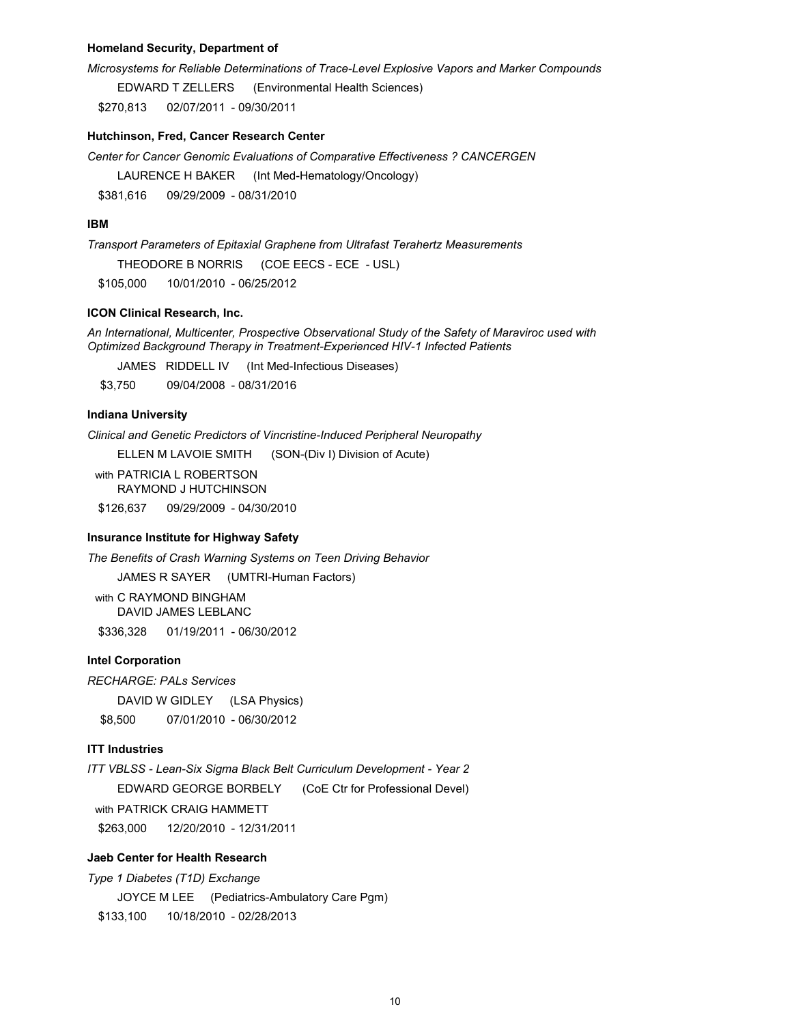#### **Homeland Security, Department of**

Microsystems for Reliable Determinations of Trace-Level Explosive Vapors and Marker Compounds

EDWARD T ZELLERS (Environmental Health Sciences)

\$270.813 02/07/2011 - 09/30/2011

### Hutchinson, Fred, Cancer Research Center

Center for Cancer Genomic Evaluations of Comparative Effectiveness ? CANCERGEN

LAURENCE H BAKER (Int Med-Hematology/Oncology)

\$381.616 09/29/2009 - 08/31/2010

### **IBM**

Transport Parameters of Epitaxial Graphene from Ultrafast Terahertz Measurements THEODORE B NORRIS (COE EECS - ECE - USL) \$105,000 10/01/2010 - 06/25/2012

## **ICON Clinical Research, Inc.**

An International, Multicenter, Prospective Observational Study of the Safety of Maraviroc used with Optimized Background Therapy in Treatment-Experienced HIV-1 Infected Patients

JAMES RIDDELL IV (Int Med-Infectious Diseases)

09/04/2008 - 08/31/2016 \$3,750

#### **Indiana University**

Clinical and Genetic Predictors of Vincristine-Induced Peripheral Neuropathy

(SON-(Div I) Division of Acute) ELLEN M LAVOIE SMITH

with PATRICIA L ROBERTSON RAYMOND J HUTCHINSON

\$126.637 09/29/2009 - 04/30/2010

#### **Insurance Institute for Highway Safety**

The Benefits of Crash Warning Systems on Teen Driving Behavior

JAMES R SAYER (UMTRI-Human Factors)

with C RAYMOND BINGHAM **DAVID JAMES LEBLANC** \$336.328 01/19/2011 - 06/30/2012

#### **Intel Corporation**

**RECHARGE: PALs Services** 

DAVID W GIDLEY (LSA Physics) \$8,500 07/01/2010 - 06/30/2012

# **ITT Industries**

ITT VBLSS - Lean-Six Sigma Black Belt Curriculum Development - Year 2 EDWARD GEORGE BORBELY (CoE Ctr for Professional Devel) with PATRICK CRAIG HAMMETT \$263,000 12/20/2010 - 12/31/2011

# **Jaeb Center for Health Research**

Type 1 Diabetes (T1D) Exchange JOYCE M LEE (Pediatrics-Ambulatory Care Pgm) \$133,100 10/18/2010 - 02/28/2013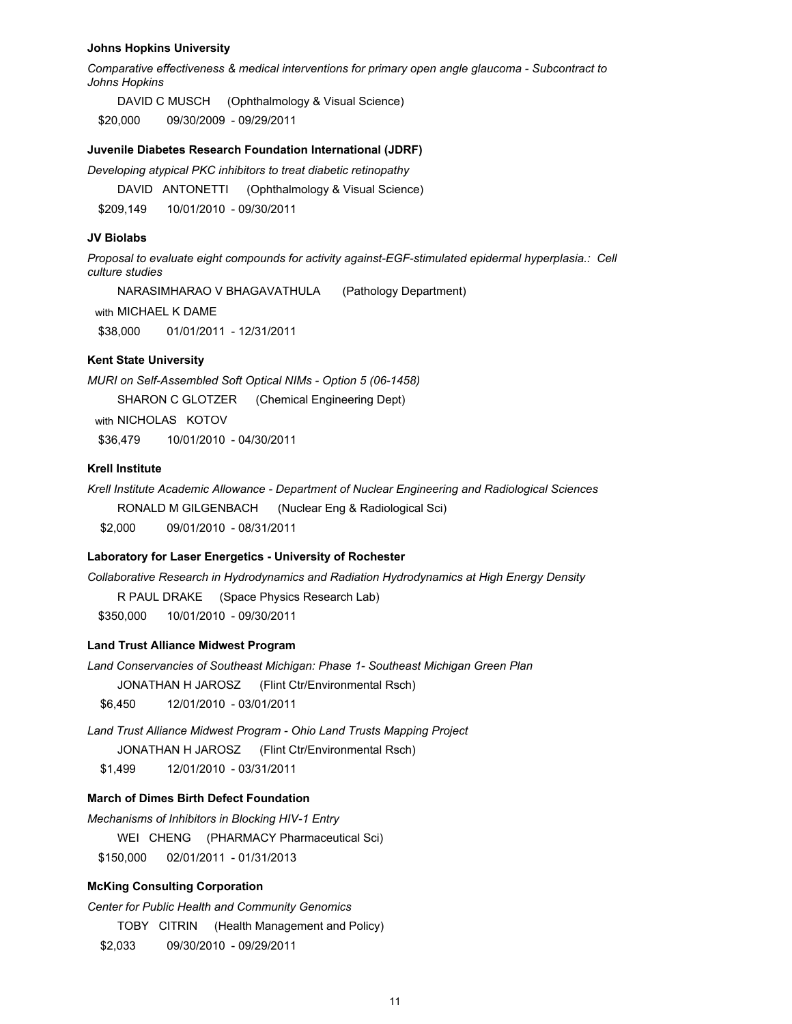#### **Johns Hopkins University**

Comparative effectiveness & medical interventions for primary open angle glaucoma - Subcontract to **Johns Hopkins** 

DAVID C MUSCH (Ophthalmology & Visual Science) \$20,000 09/30/2009 - 09/29/2011

#### Juvenile Diabetes Research Foundation International (JDRF)

Developing atypical PKC inhibitors to treat diabetic retinopathy

DAVID ANTONETTI (Ophthalmology & Visual Science)

\$209.149 10/01/2010 - 09/30/2011

#### **JV Biolabs**

Proposal to evaluate eight compounds for activity against-EGF-stimulated epidermal hyperplasia.: Cell culture studies

NARASIMHARAO V BHAGAVATHULA (Pathology Department)

with MICHAEL K DAME

\$38,000 01/01/2011 - 12/31/2011

# **Kent State University**

MURI on Self-Assembled Soft Optical NIMs - Option 5 (06-1458)

SHARON C GLOTZER (Chemical Engineering Dept)

with NICHOLAS KOTOV

10/01/2010 - 04/30/2011 \$36,479

# **Krell Institute**

Krell Institute Academic Allowance - Department of Nuclear Engineering and Radiological Sciences

RONALD M GILGENBACH (Nuclear Eng & Radiological Sci)

\$2,000 09/01/2010 - 08/31/2011

#### Laboratory for Laser Energetics - University of Rochester

Collaborative Research in Hydrodynamics and Radiation Hydrodynamics at High Energy Density

R PAUL DRAKE (Space Physics Research Lab)

\$350,000 10/01/2010 - 09/30/2011

# **Land Trust Alliance Midwest Program**

Land Conservancies of Southeast Michigan: Phase 1- Southeast Michigan Green Plan JONATHAN H JAROSZ (Flint Ctr/Environmental Rsch)

\$6,450 12/01/2010 - 03/01/2011

Land Trust Alliance Midwest Program - Ohio Land Trusts Mapping Project JONATHAN H JAROSZ (Flint Ctr/Environmental Rsch) 12/01/2010 - 03/31/2011 \$1,499

#### **March of Dimes Birth Defect Foundation**

Mechanisms of Inhibitors in Blocking HIV-1 Entry

WEI CHENG (PHARMACY Pharmaceutical Sci)

\$150,000 02/01/2011 - 01/31/2013

#### **McKing Consulting Corporation**

Center for Public Health and Community Genomics

TOBY CITRIN (Health Management and Policy)

09/30/2010 - 09/29/2011 \$2,033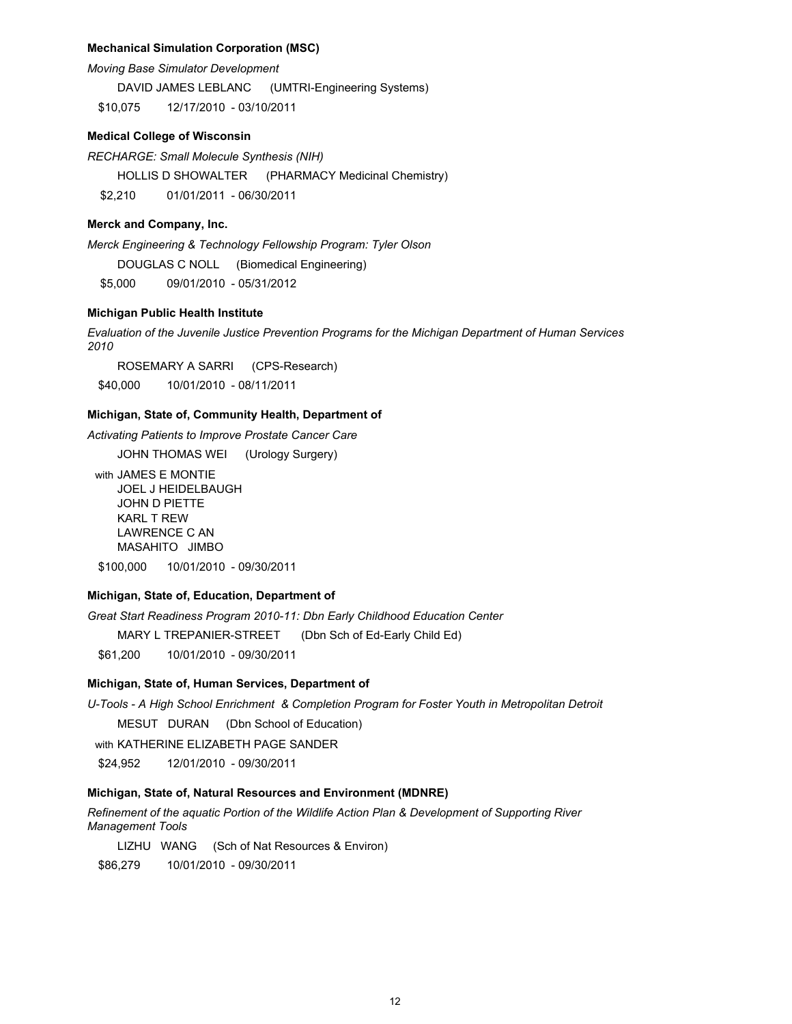#### **Mechanical Simulation Corporation (MSC)**

Moving Base Simulator Development

DAVID JAMES LEBLANC (UMTRI-Engineering Systems)

12/17/2010 - 03/10/2011 \$10,075

### **Medical College of Wisconsin**

RECHARGE: Small Molecule Synthesis (NIH)

**HOLLIS D SHOWALTER** (PHARMACY Medicinal Chemistry) 01/01/2011 - 06/30/2011 \$2.210

#### Merck and Company, Inc.

Merck Engineering & Technology Fellowship Program: Tyler Olson

DOUGLAS C NOLL (Biomedical Engineering)

\$5,000 09/01/2010 - 05/31/2012

## Michigan Public Health Institute

Evaluation of the Juvenile Justice Prevention Programs for the Michigan Department of Human Services 2010

ROSEMARY A SARRI (CPS-Research) \$40,000 10/01/2010 - 08/11/2011

#### Michigan, State of, Community Health, Department of

Activating Patients to Improve Prostate Cancer Care

JOHN THOMAS WEI (Urology Surgery)

with JAMES E MONTIE JOEL J HEIDELBAUGH JOHN D PIETTE **KARL T REW LAWRENCE C AN** MASAHITO JIMBO \$100.000 10/01/2010 - 09/30/2011

### Michigan, State of, Education, Department of

Great Start Readiness Program 2010-11: Dbn Early Childhood Education Center

MARY L TREPANIER-STREET (Dbn Sch of Ed-Early Child Ed)

10/01/2010 - 09/30/2011 \$61,200

#### Michigan, State of, Human Services, Department of

U-Tools - A High School Enrichment & Completion Program for Foster Youth in Metropolitan Detroit MESUT DURAN (Dbn School of Education)

with KATHERINE ELIZABETH PAGE SANDER

12/01/2010 - 09/30/2011 \$24,952

### Michigan, State of, Natural Resources and Environment (MDNRE)

Refinement of the aquatic Portion of the Wildlife Action Plan & Development of Supporting River **Management Tools** 

LIZHU WANG (Sch of Nat Resources & Environ)

\$86,279 10/01/2010 - 09/30/2011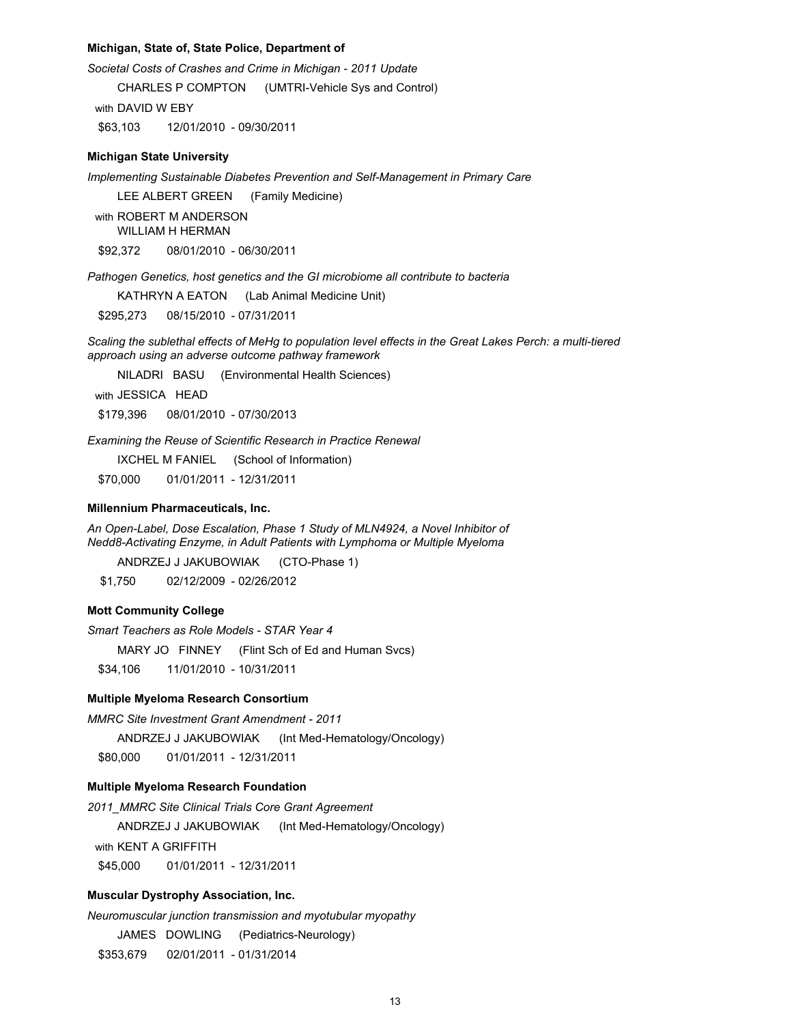#### Michigan, State of, State Police, Department of

Societal Costs of Crashes and Crime in Michigan - 2011 Update

**CHARLES P COMPTON** (UMTRI-Vehicle Sys and Control)

with DAVID W EBY

\$63.103 12/01/2010 - 09/30/2011

#### **Michigan State University**

Implementing Sustainable Diabetes Prevention and Self-Management in Primary Care

LEE ALBERT GREEN (Family Medicine)

with ROBERT M ANDERSON **WILLIAM H HERMAN** 

\$92,372 08/01/2010 - 06/30/2011

Pathogen Genetics, host genetics and the GI microbiome all contribute to bacteria

KATHRYN A EATON (Lab Animal Medicine Unit)

\$295.273 08/15/2010 - 07/31/2011

Scaling the sublethal effects of MeHg to population level effects in the Great Lakes Perch: a multi-tiered approach using an adverse outcome pathway framework

NILADRI BASU (Environmental Health Sciences)

with JESSICA HEAD

\$179.396 08/01/2010 - 07/30/2013

Examining the Reuse of Scientific Research in Practice Renewal

IXCHEL M FANIEL (School of Information)

\$70,000 01/01/2011 - 12/31/2011

### Millennium Pharmaceuticals, Inc.

An Open-Label, Dose Escalation, Phase 1 Study of MLN4924, a Novel Inhibitor of Nedd8-Activating Enzyme, in Adult Patients with Lymphoma or Multiple Myeloma

ANDRZEJ J JAKUBOWIAK (CTO-Phase 1)

\$1.750 02/12/2009 - 02/26/2012

#### **Mott Community College**

Smart Teachers as Role Models - STAR Year 4

MARY JO FINNEY (Flint Sch of Ed and Human Svcs)

\$34,106 11/01/2010 - 10/31/2011

#### **Multiple Myeloma Research Consortium**

**MMRC Site Investment Grant Amendment - 2011** 

ANDRZEJ J JAKUBOWIAK (Int Med-Hematology/Oncology)

\$80,000 01/01/2011 - 12/31/2011

#### Multiple Myeloma Research Foundation

2011\_MMRC Site Clinical Trials Core Grant Agreement

ANDRZEJ J JAKUBOWIAK (Int Med-Hematology/Oncology)

with KENT A GRIFFITH

01/01/2011 - 12/31/2011 \$45,000

#### Muscular Dystrophy Association, Inc.

Neuromuscular junction transmission and myotubular myopathy

(Pediatrics-Neurology) JAMES DOWLING

\$353,679 02/01/2011 - 01/31/2014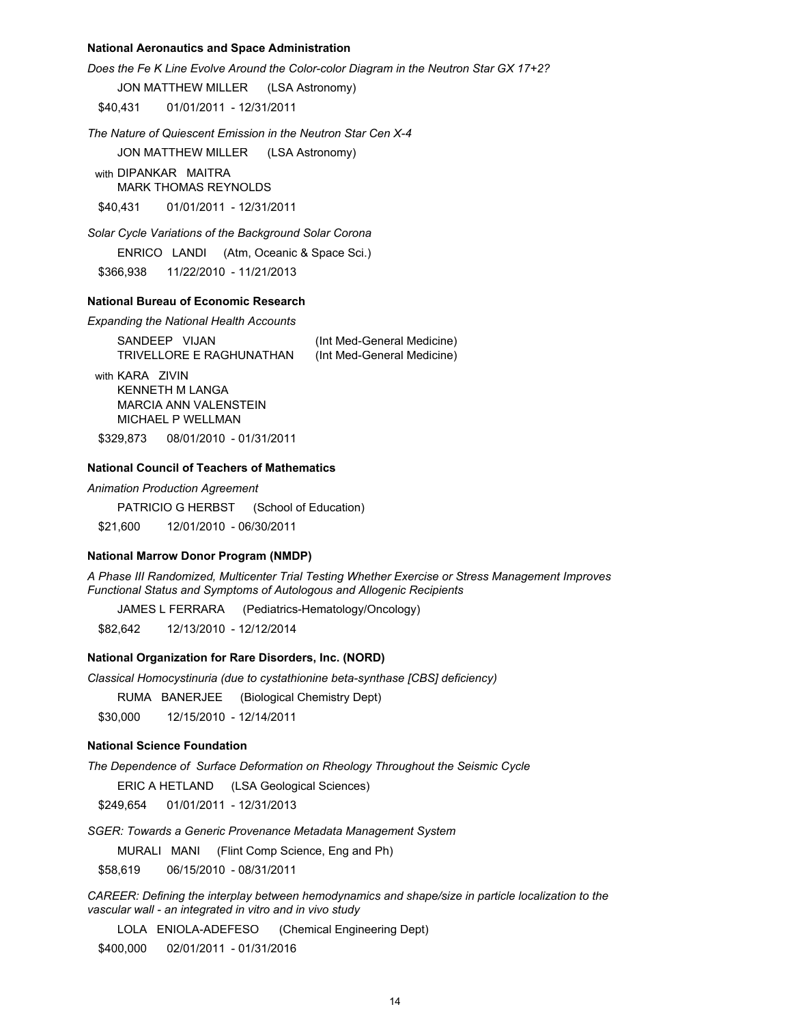#### **National Aeronautics and Space Administration**

Does the Fe K Line Evolve Around the Color-color Diagram in the Neutron Star GX 17+2?

**JON MATTHEW MILLER** (LSA Astronomy)

\$40,431 01/01/2011 - 12/31/2011

The Nature of Quiescent Emission in the Neutron Star Cen X-4

JON MATTHEW MILLER (LSA Astronomy)

with DIPANKAR MAITRA **MARK THOMAS REYNOLDS** 

\$40,431 01/01/2011 - 12/31/2011

Solar Cycle Variations of the Background Solar Corona

(Atm, Oceanic & Space Sci.) ENRICO LANDI

\$366,938 11/22/2010 - 11/21/2013

#### **National Bureau of Economic Research**

**Expanding the National Health Accounts** 

| SANDEEP VIJAN            | (Int Med-General Medicine) |
|--------------------------|----------------------------|
| TRIVELLORE E RAGHUNATHAN | (Int Med-General Medicine) |

with KARA ZIVIN **KENNETH M LANGA** MARCIA ANN VALENSTEIN MICHAEL P WELLMAN

\$329,873 08/01/2010 - 01/31/2011

# **National Council of Teachers of Mathematics**

**Animation Production Agreement** 

PATRICIO G HERBST (School of Education)

\$21,600 12/01/2010 - 06/30/2011

#### **National Marrow Donor Program (NMDP)**

A Phase III Randomized, Multicenter Trial Testing Whether Exercise or Stress Management Improves Functional Status and Symptoms of Autologous and Allogenic Recipients

JAMES L FERRARA (Pediatrics-Hematology/Oncology)

\$82.642 12/13/2010 - 12/12/2014

#### **National Organization for Rare Disorders, Inc. (NORD)**

Classical Homocystinuria (due to cystathionine beta-synthase [CBS] deficiency)

RUMA BANERJEE (Biological Chemistry Dept)

\$30,000 12/15/2010 - 12/14/2011

# **National Science Foundation**

The Dependence of Surface Deformation on Rheology Throughout the Seismic Cycle

ERIC A HETLAND (LSA Geological Sciences)

\$249,654 01/01/2011 - 12/31/2013

SGER: Towards a Generic Provenance Metadata Management System

MURALI MANI (Flint Comp Science, Eng and Ph)

\$58,619 06/15/2010 - 08/31/2011

CAREER: Defining the interplay between hemodynamics and shape/size in particle localization to the vascular wall - an integrated in vitro and in vivo study

LOLA ENIOLA-ADEFESO (Chemical Engineering Dept)

\$400,000 02/01/2011 - 01/31/2016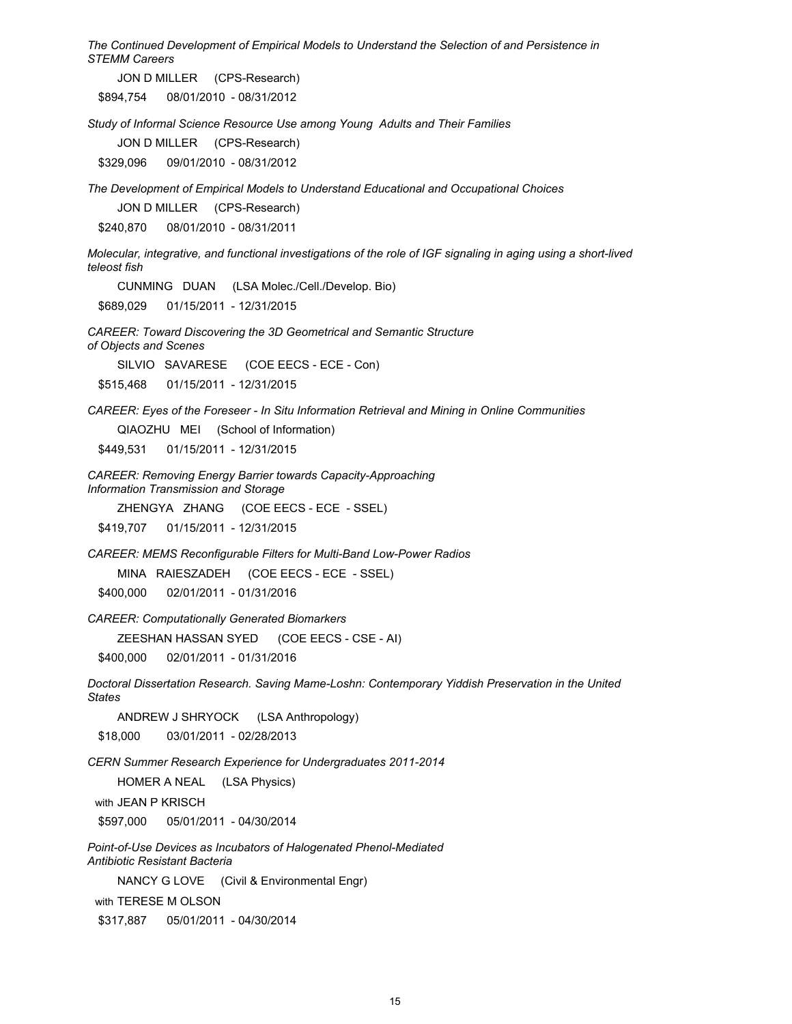The Continued Development of Empirical Models to Understand the Selection of and Persistence in **STEMM Careers** 

JON D MILLER (CPS-Research)

\$894,754 08/01/2010 - 08/31/2012

Study of Informal Science Resource Use among Young Adults and Their Families

JON D MILLER (CPS-Research)

09/01/2010 - 08/31/2012 \$329,096

The Development of Empirical Models to Understand Educational and Occupational Choices

JON D MILLER (CPS-Research)

\$240,870 08/01/2010 - 08/31/2011

Molecular, integrative, and functional investigations of the role of IGF signaling in aging using a short-lived teleost fish

CUNMING DUAN (LSA Molec./Cell./Develop. Bio)

\$689,029 01/15/2011 - 12/31/2015

CAREER: Toward Discovering the 3D Geometrical and Semantic Structure of Objects and Scenes

SILVIO SAVARESE (COE EECS - ECE - Con)

\$515,468 01/15/2011 - 12/31/2015

CAREER: Eyes of the Foreseer - In Situ Information Retrieval and Mining in Online Communities

QIAOZHU MEI (School of Information)

01/15/2011 - 12/31/2015 \$449,531

**CAREER: Removing Energy Barrier towards Capacity-Approaching** Information Transmission and Storage

ZHENGYA ZHANG (COE EECS - ECE - SSEL)

\$419,707 01/15/2011 - 12/31/2015

CAREER: MEMS Reconfigurable Filters for Multi-Band Low-Power Radios

MINA RAIESZADEH (COE EECS - ECE - SSEL)

02/01/2011 - 01/31/2016 \$400,000

**CAREER: Computationally Generated Biomarkers** 

ZEESHAN HASSAN SYED (COE EECS - CSE - AI)

\$400.000 02/01/2011 - 01/31/2016

Doctoral Dissertation Research. Saving Mame-Loshn: Contemporary Yiddish Preservation in the United **States** 

ANDREW J SHRYOCK (LSA Anthropology) 03/01/2011 - 02/28/2013 \$18,000

CERN Summer Research Experience for Undergraduates 2011-2014

HOMER A NEAL (LSA Physics)

with JEAN P KRISCH

\$597,000 05/01/2011 - 04/30/2014

Point-of-Use Devices as Incubators of Halogenated Phenol-Mediated Antibiotic Resistant Bacteria

NANCY G LOVE (Civil & Environmental Engr)

with TERESE M OLSON

\$317,887 05/01/2011 - 04/30/2014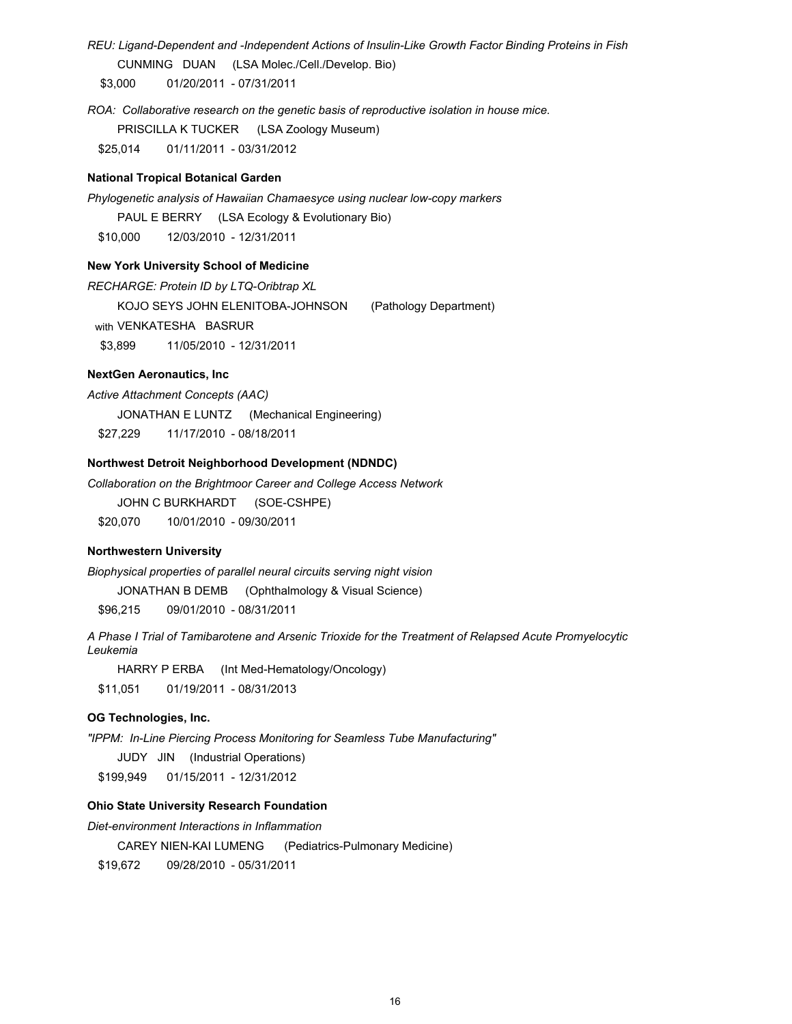REU: Ligand-Dependent and -Independent Actions of Insulin-Like Growth Factor Binding Proteins in Fish CUNMING DUAN (LSA Molec./Cell./Develop. Bio)

01/20/2011 - 07/31/2011 \$3,000

ROA: Collaborative research on the genetic basis of reproductive isolation in house mice.

PRISCILLA K TUCKER (LSA Zoology Museum)

01/11/2011 - 03/31/2012 \$25,014

# **National Tropical Botanical Garden**

Phylogenetic analysis of Hawaiian Chamaesyce using nuclear low-copy markers

PAUL E BERRY (LSA Ecology & Evolutionary Bio)

\$10,000 12/03/2010 - 12/31/2011

#### **New York University School of Medicine**

RECHARGE: Protein ID by LTQ-Oribtrap XL

KOJO SEYS JOHN ELENITOBA-JOHNSON (Pathology Department)

with VENKATESHA BASRUR

\$3.899 11/05/2010 - 12/31/2011

### **NextGen Aeronautics, Inc**

Active Attachment Concepts (AAC)

JONATHAN E LUNTZ (Mechanical Engineering)

11/17/2010 - 08/18/2011 \$27,229

### **Northwest Detroit Neighborhood Development (NDNDC)**

Collaboration on the Brightmoor Career and College Access Network

JOHN C BURKHARDT (SOE-CSHPE)

\$20,070 10/01/2010 - 09/30/2011

#### **Northwestern University**

Biophysical properties of parallel neural circuits serving night vision

JONATHAN B DEMB (Ophthalmology & Visual Science)

\$96,215 09/01/2010 - 08/31/2011

A Phase I Trial of Tamibarotene and Arsenic Trioxide for the Treatment of Relapsed Acute Promyelocytic Leukemia

HARRY P ERBA (Int Med-Hematology/Oncology)

01/19/2011 - 08/31/2013 \$11,051

# OG Technologies, Inc.

"IPPM: In-Line Piercing Process Monitoring for Seamless Tube Manufacturing"

JUDY JIN (Industrial Operations)

01/15/2011 - 12/31/2012 \$199,949

# **Ohio State University Research Foundation**

Diet-environment Interactions in Inflammation

CAREY NIEN-KAI LUMENG (Pediatrics-Pulmonary Medicine)

\$19.672 09/28/2010 - 05/31/2011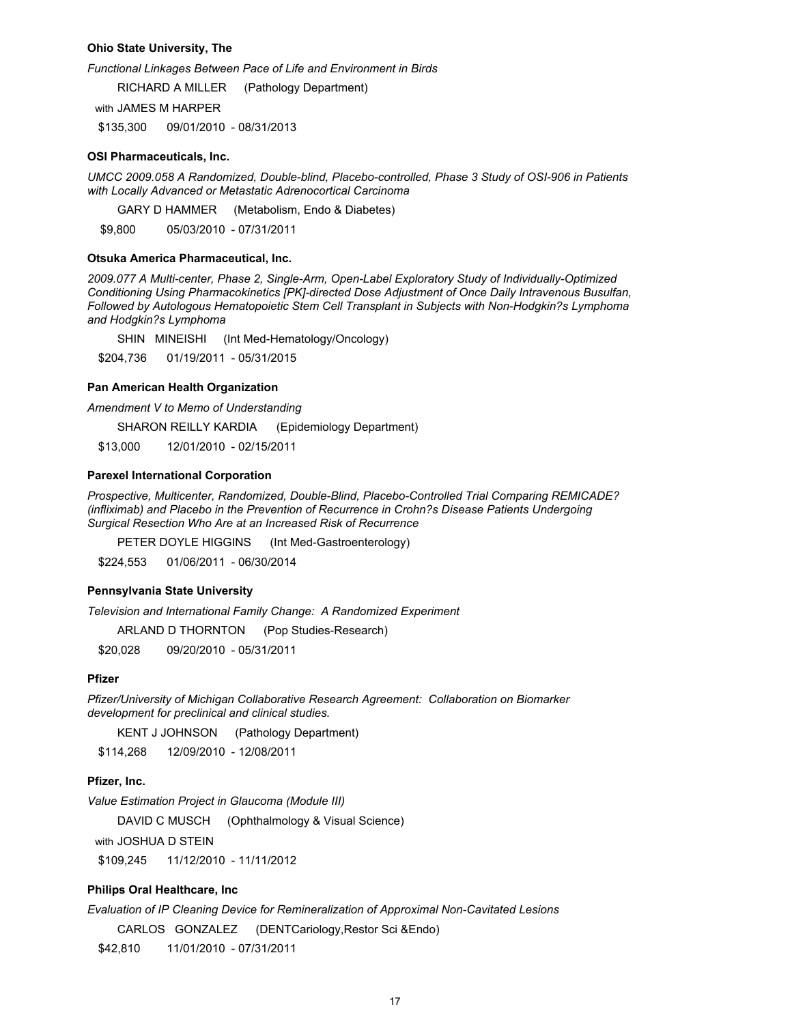#### **Ohio State University, The**

Functional Linkages Between Pace of Life and Environment in Birds

**RICHARD A MILLER** (Pathology Department)

with JAMES M HARPER

\$135.300 09/01/2010 - 08/31/2013

#### **OSI Pharmaceuticals, Inc.**

UMCC 2009.058 A Randomized, Double-blind, Placebo-controlled, Phase 3 Study of OSI-906 in Patients with Locally Advanced or Metastatic Adrenocortical Carcinoma

GARY D HAMMER (Metabolism, Endo & Diabetes)

\$9.800 05/03/2010 - 07/31/2011

#### Otsuka America Pharmaceutical, Inc.

2009.077 A Multi-center, Phase 2, Single-Arm, Open-Label Exploratory Study of Individually-Optimized Conditioning Using Pharmacokinetics [PK]-directed Dose Adjustment of Once Daily Intravenous Busulfan, Followed by Autologous Hematopoietic Stem Cell Transplant in Subjects with Non-Hodgkin?s Lymphoma and Hodgkin?s Lymphoma

SHIN MINEISHI (Int Med-Hematology/Oncology)

\$204.736 01/19/2011 - 05/31/2015

#### Pan American Health Organization

Amendment V to Memo of Understanding

SHARON REILLY KARDIA (Epidemiology Department)

\$13,000 12/01/2010 - 02/15/2011

# **Parexel International Corporation**

Prospective, Multicenter, Randomized, Double-Blind, Placebo-Controlled Trial Comparing REMICADE? (infliximab) and Placebo in the Prevention of Recurrence in Crohn?s Disease Patients Undergoing Surgical Resection Who Are at an Increased Risk of Recurrence

PETER DOYLE HIGGINS (Int Med-Gastroenterology)

01/06/2011 - 06/30/2014 \$224,553

### **Pennsylvania State University**

Television and International Family Change: A Randomized Experiment

ARLAND D THORNTON (Pop Studies-Research)

\$20.028 09/20/2010 - 05/31/2011

#### **Pfizer**

Pfizer/University of Michigan Collaborative Research Agreement: Collaboration on Biomarker development for preclinical and clinical studies.

**KENT J JOHNSON** (Pathology Department)

\$114,268 12/09/2010 - 12/08/2011

### Pfizer, Inc.

Value Estimation Project in Glaucoma (Module III)

**DAVID C MUSCH** (Ophthalmology & Visual Science)

with JOSHUA D STEIN

11/12/2010 - 11/11/2012 \$109,245

#### Philips Oral Healthcare, Inc

Evaluation of IP Cleaning Device for Remineralization of Approximal Non-Cavitated Lesions

CARLOS GONZALEZ (DENTCariology, Restor Sci & Endo)

\$42,810 11/01/2010 - 07/31/2011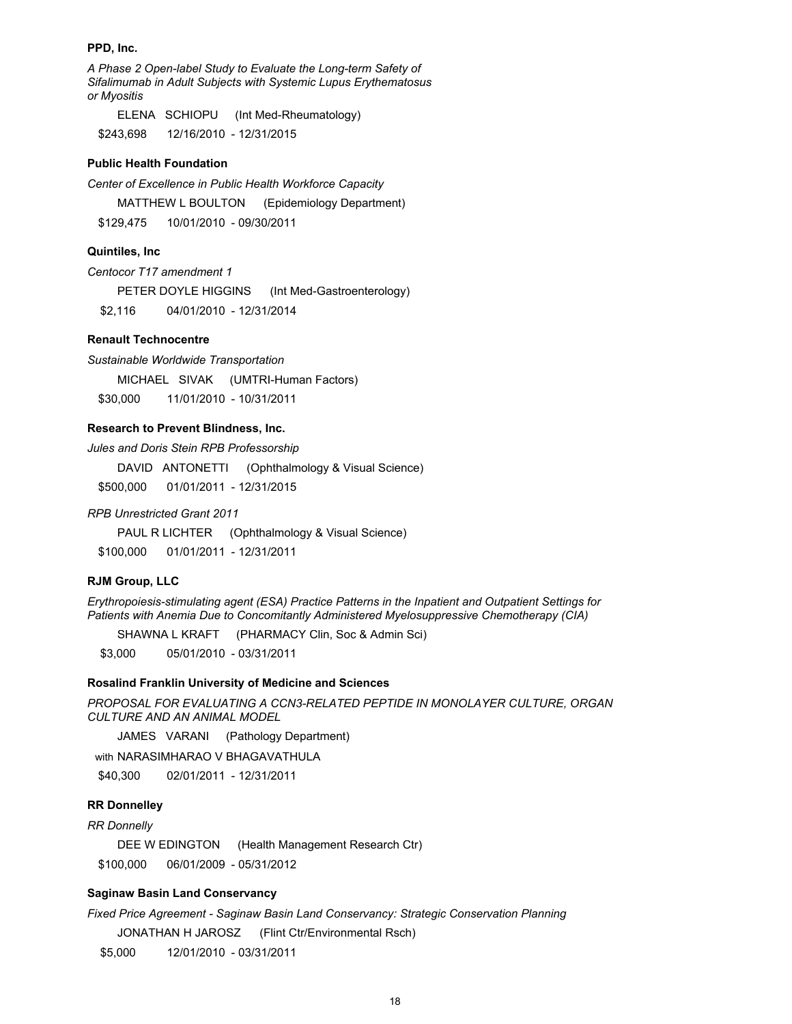#### PPD. Inc.

A Phase 2 Open-label Study to Evaluate the Long-term Safety of Sifalimumab in Adult Subjects with Systemic Lupus Erythematosus or Myositis

ELENA SCHIOPU (Int Med-Rheumatology) 12/16/2010 - 12/31/2015 \$243,698

#### **Public Health Foundation**

Center of Excellence in Public Health Workforce Capacity

MATTHEW L BOULTON (Epidemiology Department)

\$129.475 10/01/2010 - 09/30/2011

#### Quintiles, Inc.

Centocor T17 amendment 1

PETER DOYLE HIGGINS (Int Med-Gastroenterology)

\$2.116 04/01/2010 - 12/31/2014

# **Renault Technocentre**

Sustainable Worldwide Transportation

MICHAEL SIVAK (UMTRI-Human Factors)

\$30,000 11/01/2010 - 10/31/2011

### Research to Prevent Blindness, Inc.

Jules and Doris Stein RPB Professorship

DAVID ANTONETTI (Ophthalmology & Visual Science)

\$500.000 01/01/2011 - 12/31/2015

**RPB Unrestricted Grant 2011** 

PAUL R LICHTER (Ophthalmology & Visual Science)

\$100,000 01/01/2011 - 12/31/2011

### **RJM Group, LLC**

Erythropoiesis-stimulating agent (ESA) Practice Patterns in the Inpatient and Outpatient Settings for Patients with Anemia Due to Concomitantly Administered Myelosuppressive Chemotherapy (CIA)

SHAWNA L KRAFT (PHARMACY Clin, Soc & Admin Sci)

\$3,000 05/01/2010 - 03/31/2011

#### Rosalind Franklin University of Medicine and Sciences

PROPOSAL FOR EVALUATING A CCN3-RELATED PEPTIDE IN MONOLAYER CULTURE, ORGAN **CULTURE AND AN ANIMAL MODEL** 

JAMES VARANI (Pathology Department)

with NARASIMHARAO V BHAGAVATHULA

\$40,300 02/01/2011 - 12/31/2011

### **RR Donnelley**

**RR** Donnelly

(Health Management Research Ctr) DEE W EDINGTON 06/01/2009 - 05/31/2012 \$100,000

# **Saginaw Basin Land Conservancy**

Fixed Price Agreement - Saginaw Basin Land Conservancy: Strategic Conservation Planning

JONATHAN H JAROSZ (Flint Ctr/Environmental Rsch)

\$5,000 12/01/2010 - 03/31/2011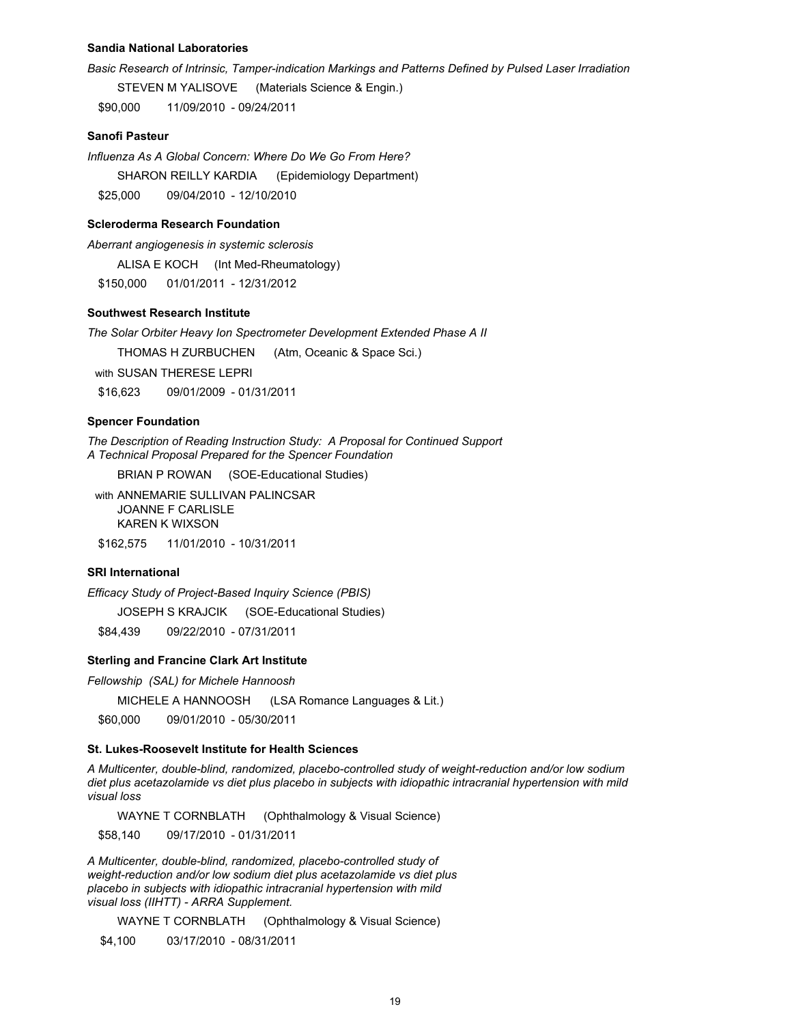#### **Sandia National Laboratories**

Basic Research of Intrinsic, Tamper-indication Markings and Patterns Defined by Pulsed Laser Irradiation

STEVEN M YALISOVE (Materials Science & Engin.)

\$90,000 11/09/2010 - 09/24/2011

### **Sanofi Pasteur**

Influenza As A Global Concern: Where Do We Go From Here? SHARON REILLY KARDIA (Epidemiology Department) \$25,000 09/04/2010 - 12/10/2010

#### **Scleroderma Research Foundation**

Aberrant angiogenesis in systemic sclerosis

ALISA E KOCH (Int Med-Rheumatology)

\$150.000 01/01/2011 - 12/31/2012

# **Southwest Research Institute**

The Solar Orbiter Heavy Ion Spectrometer Development Extended Phase A II

THOMAS H ZURBUCHEN (Atm, Oceanic & Space Sci.)

with SUSAN THERESE I FPRI

\$16,623 09/01/2009 - 01/31/2011

#### **Spencer Foundation**

The Description of Reading Instruction Study: A Proposal for Continued Support A Technical Proposal Prepared for the Spencer Foundation

BRIAN P ROWAN (SOE-Educational Studies)

with ANNEMARIE SULLIVAN PALINCSAR **JOANNE F CARLISLE KAREN K WIXSON** \$162.575 11/01/2010 - 10/31/2011

#### **SRI International**

Efficacy Study of Project-Based Inquiry Science (PBIS)

JOSEPH S KRAJCIK (SOE-Educational Studies)

09/22/2010 - 07/31/2011 \$84.439

### **Sterling and Francine Clark Art Institute**

Fellowship (SAL) for Michele Hannoosh

MICHELE A HANNOOSH (LSA Romance Languages & Lit.)

\$60,000 09/01/2010 - 05/30/2011

# St. Lukes-Roosevelt Institute for Health Sciences

A Multicenter, double-blind, randomized, placebo-controlled study of weight-reduction and/or low sodium diet plus acetazolamide vs diet plus placebo in subjects with idiopathic intracranial hypertension with mild visual loss

WAYNE T CORNBLATH (Ophthalmology & Visual Science)

\$58,140 09/17/2010 - 01/31/2011

A Multicenter, double-blind, randomized, placebo-controlled study of weight-reduction and/or low sodium diet plus acetazolamide vs diet plus placebo in subjects with idiopathic intracranial hypertension with mild visual loss (IIHTT) - ARRA Supplement.

WAYNE T CORNBLATH (Ophthalmology & Visual Science)

03/17/2010 - 08/31/2011 \$4,100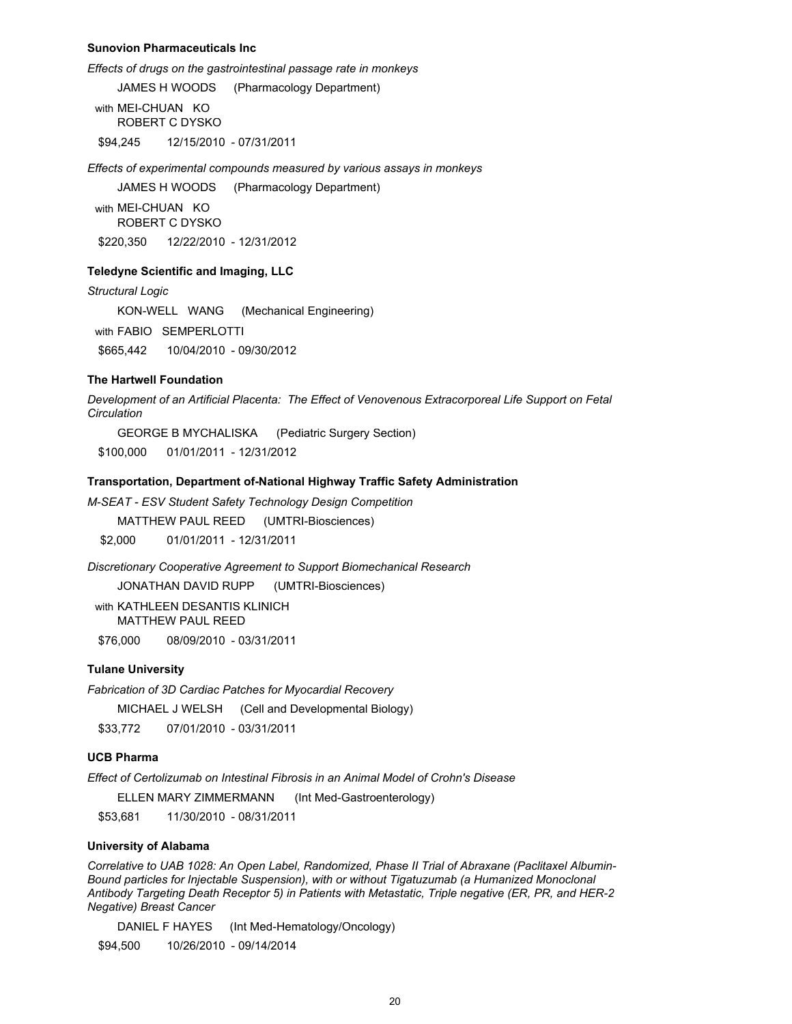#### **Sunovion Pharmaceuticals Inc.**

Effects of drugs on the gastrointestinal passage rate in monkeys

(Pharmacology Department) JAMES H WOODS with MEI-CHUAN KO ROBERT C DYSKO

12/15/2010 - 07/31/2011 \$94,245

Effects of experimental compounds measured by various assays in monkeys

**JAMES H WOODS** (Pharmacology Department)

with MEI-CHUAN KO **ROBERT C DYSKO** \$220.350 12/22/2010 - 12/31/2012

### **Teledyne Scientific and Imaging, LLC**

**Structural Logic** 

KON-WELL WANG (Mechanical Engineering)

with FABIO SEMPERLOTTI

10/04/2010 - 09/30/2012 \$665.442

#### **The Hartwell Foundation**

Development of an Artificial Placenta: The Effect of Venovenous Extracorporeal Life Support on Fetal Circulation

**GEORGE B MYCHALISKA** (Pediatric Surgery Section)

01/01/2011 - 12/31/2012 \$100,000

#### Transportation, Department of-National Highway Traffic Safety Administration

M-SEAT - ESV Student Safety Technology Design Competition

MATTHEW PAUL REED (UMTRI-Biosciences)

\$2.000 01/01/2011 - 12/31/2011

Discretionary Cooperative Agreement to Support Biomechanical Research

JONATHAN DAVID RUPP (UMTRI-Biosciences)

with KATHLEEN DESANTIS KLINICH **MATTHEW PAUL REED** 

\$76,000 08/09/2010 - 03/31/2011

# **Tulane University**

Fabrication of 3D Cardiac Patches for Myocardial Recovery

MICHAEL J WELSH (Cell and Developmental Biology)

07/01/2010 - 03/31/2011 \$33,772

#### **UCB Pharma**

Effect of Certolizumab on Intestinal Fibrosis in an Animal Model of Crohn's Disease

ELLEN MARY ZIMMERMANN (Int Med-Gastroenterology)

\$53,681 11/30/2010 - 08/31/2011

# **University of Alabama**

Correlative to UAB 1028: An Open Label, Randomized, Phase II Trial of Abraxane (Paclitaxel Albumin-Bound particles for Injectable Suspension), with or without Tigatuzumab (a Humanized Monoclonal Antibody Targeting Death Receptor 5) in Patients with Metastatic, Triple negative (ER, PR, and HER-2 **Negative) Breast Cancer** 

DANIEL F HAYES (Int Med-Hematology/Oncology)

10/26/2010 - 09/14/2014 \$94,500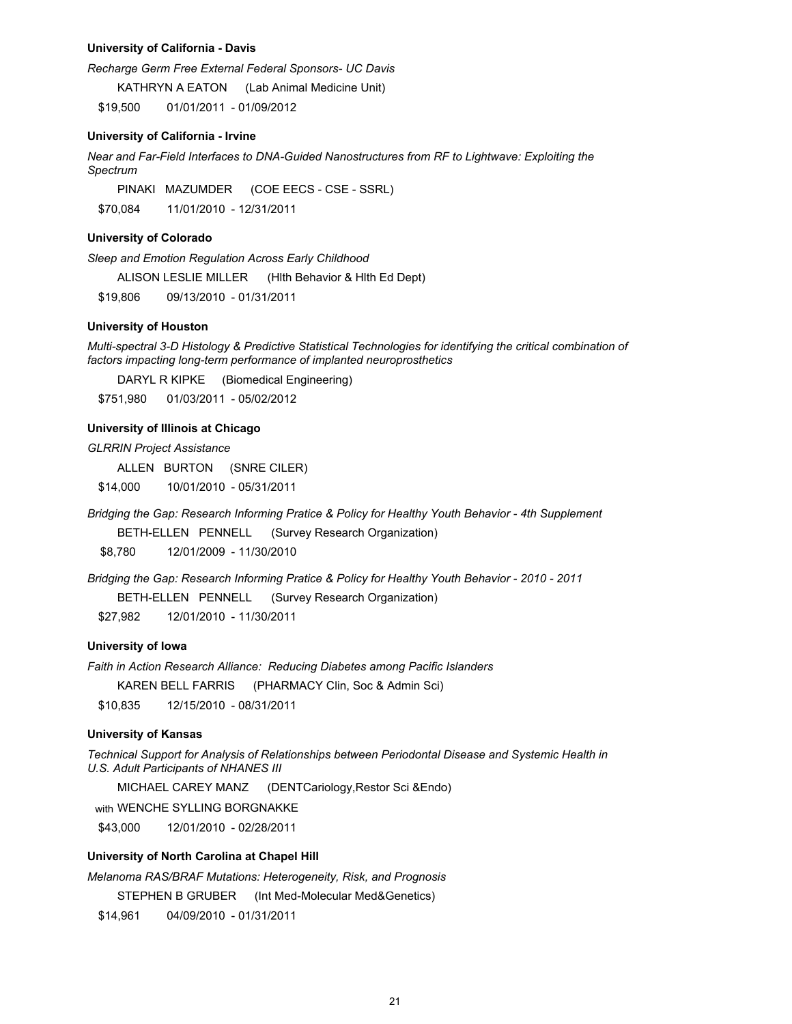#### **University of California - Davis**

Recharge Germ Free External Federal Sponsors- UC Davis

KATHRYN A EATON (Lab Animal Medicine Unit)

01/01/2011 - 01/09/2012 \$19,500

#### **University of California - Irvine**

Near and Far-Field Interfaces to DNA-Guided Nanostructures from RF to Lightwave: Exploiting the Spectrum

PINAKI MAZUMDER (COE EECS - CSE - SSRL) 11/01/2010 - 12/31/2011 \$70.084

#### **University of Colorado**

Sleep and Emotion Regulation Across Early Childhood

ALISON LESLIE MILLER (Hith Behavior & Hith Ed Dept)

\$19,806 09/13/2010 - 01/31/2011

### **University of Houston**

Multi-spectral 3-D Histology & Predictive Statistical Technologies for identifying the critical combination of factors impacting long-term performance of implanted neuroprosthetics

DARYL R KIPKE (Biomedical Engineering)

\$751,980 01/03/2011 - 05/02/2012

#### University of Illinois at Chicago

#### **GLRRIN Project Assistance**

ALLEN BURTON (SNRE CILER)

10/01/2010 - 05/31/2011 \$14,000

Bridging the Gap: Research Informing Pratice & Policy for Healthy Youth Behavior - 4th Supplement

BETH-ELLEN PENNELL (Survey Research Organization)

\$8.780 12/01/2009 - 11/30/2010

Bridging the Gap: Research Informing Pratice & Policy for Healthy Youth Behavior - 2010 - 2011

BETH-ELLEN PENNELL (Survey Research Organization)

12/01/2010 - 11/30/2011 \$27,982

### University of Iowa

Faith in Action Research Alliance: Reducing Diabetes among Pacific Islanders

**KAREN BELL FARRIS** (PHARMACY Clin, Soc & Admin Sci)

\$10,835 12/15/2010 - 08/31/2011

#### **University of Kansas**

Technical Support for Analysis of Relationships between Periodontal Disease and Systemic Health in U.S. Adult Participants of NHANES III

MICHAEL CAREY MANZ (DENTCariology, Restor Sci & Endo)

with WENCHE SYLLING BORGNAKKE

12/01/2010 - 02/28/2011 \$43,000

### University of North Carolina at Chapel Hill

Melanoma RAS/BRAF Mutations: Heterogeneity, Risk, and Prognosis

STEPHEN B GRUBER (Int Med-Molecular Med&Genetics)

\$14,961 04/09/2010 - 01/31/2011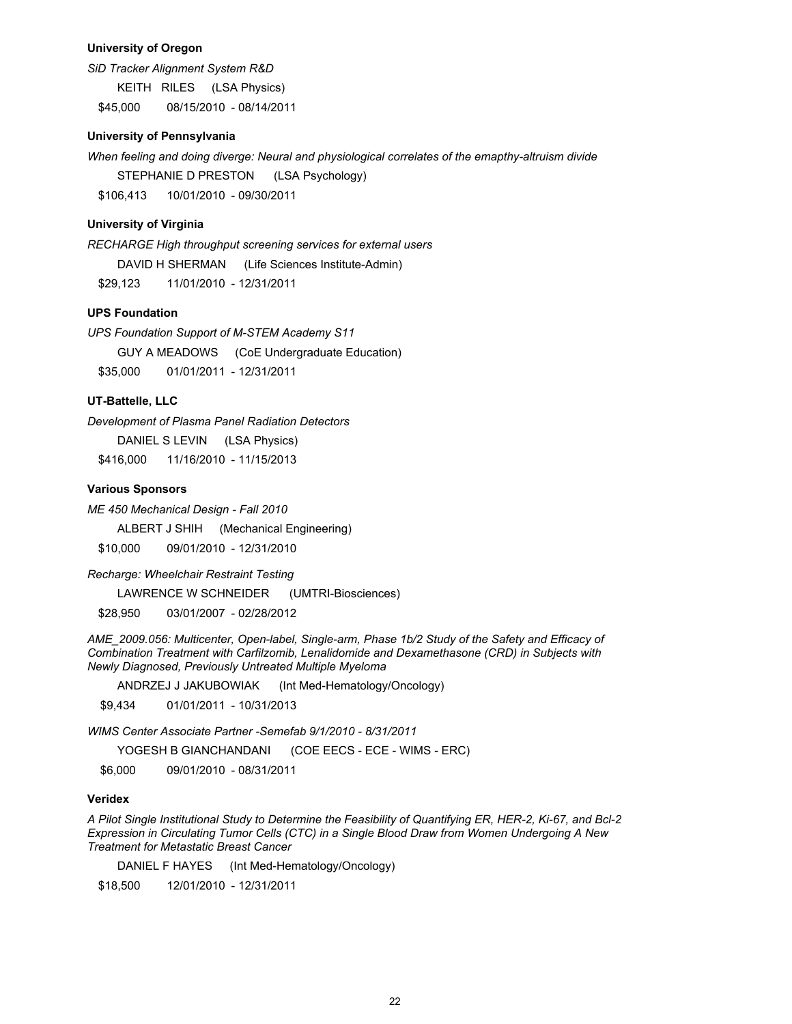### **University of Oregon**

SiD Tracker Alignment System R&D

KEITH RILES (LSA Physics) \$45,000 08/15/2010 - 08/14/2011

#### **University of Pennsylvania**

When feeling and doing diverge: Neural and physiological correlates of the emapthy-altruism divide

STEPHANIE D PRESTON (LSA Psychology)

10/01/2010 - 09/30/2011 \$106.413

# **University of Virginia**

RECHARGE High throughput screening services for external users

DAVID H SHERMAN (Life Sciences Institute-Admin)

\$29.123 11/01/2010 - 12/31/2011

# **UPS Foundation**

UPS Foundation Support of M-STEM Academy S11 GUY A MEADOWS (CoE Undergraduate Education) \$35,000 01/01/2011 - 12/31/2011

# **UT-Battelle, LLC**

Development of Plasma Panel Radiation Detectors DANIEL S LEVIN (LSA Physics) \$416,000 11/16/2010 - 11/15/2013

### **Various Sponsors**

ME 450 Mechanical Design - Fall 2010

ALBERT J SHIH (Mechanical Engineering)

\$10,000 09/01/2010 - 12/31/2010

Recharge: Wheelchair Restraint Testing

**LAWRENCE W SCHNEIDER** (UMTRI-Biosciences)

03/01/2007 - 02/28/2012 \$28,950

AME\_2009.056: Multicenter, Open-label, Single-arm, Phase 1b/2 Study of the Safety and Efficacy of Combination Treatment with Carfilzomib, Lenalidomide and Dexamethasone (CRD) in Subjects with Newly Diagnosed, Previously Untreated Multiple Myeloma

ANDRZEJ J JAKUBOWIAK (Int Med-Hematology/Oncology)

01/01/2011 - 10/31/2013 \$9,434

WIMS Center Associate Partner -Semefab 9/1/2010 - 8/31/2011

YOGESH B GIANCHANDANI (COE EECS - ECE - WIMS - ERC)

\$6,000 09/01/2010 - 08/31/2011

# **Veridex**

A Pilot Single Institutional Study to Determine the Feasibility of Quantifying ER, HER-2, Ki-67, and Bcl-2 Expression in Circulating Tumor Cells (CTC) in a Single Blood Draw from Women Undergoing A New **Treatment for Metastatic Breast Cancer** 

DANIEL F HAYES (Int Med-Hematology/Oncology)

12/01/2010 - 12/31/2011 \$18,500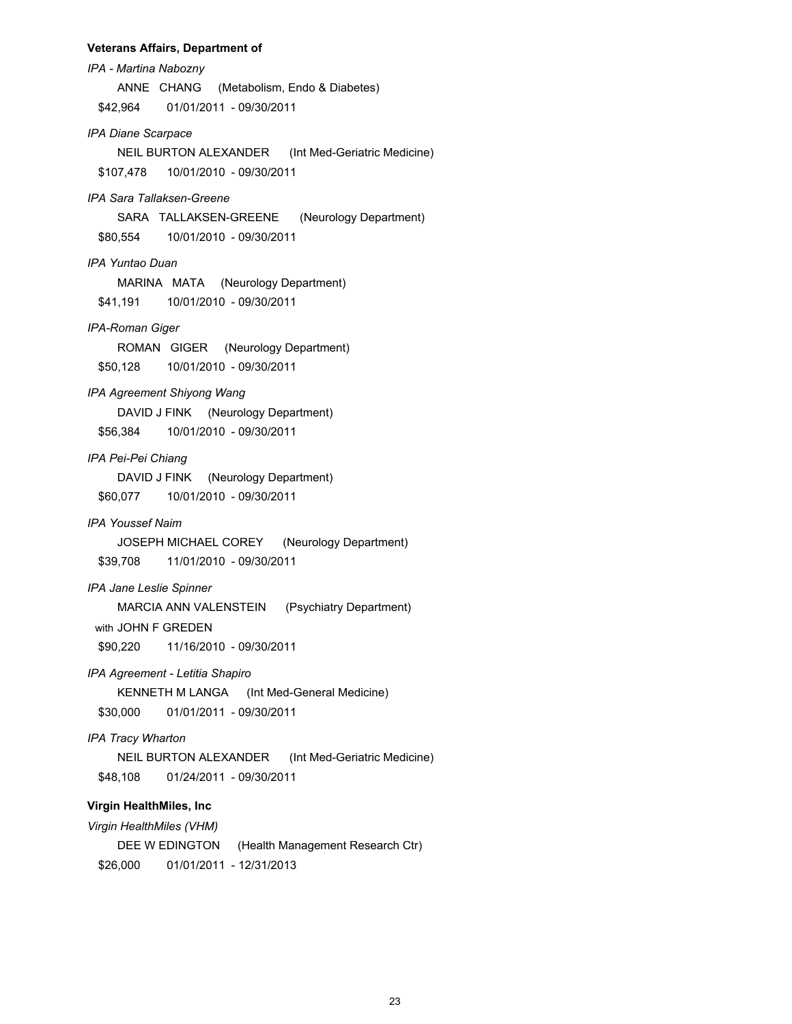#### **Veterans Affairs, Department of**

IPA - Martina Nabozny ANNE CHANG (Metabolism, Endo & Diabetes) \$42,964 01/01/2011 - 09/30/2011 **IPA Diane Scarpace** NEIL BURTON ALEXANDER (Int Med-Geriatric Medicine) \$107,478 10/01/2010 - 09/30/2011 IPA Sara Tallaksen-Greene SARA TALLAKSEN-GREENE (Neurology Department) \$80,554 10/01/2010 - 09/30/2011 IPA Yuntao Duan MARINA MATA (Neurology Department) \$41,191 10/01/2010 - 09/30/2011 IPA-Roman Giger ROMAN GIGER (Neurology Department) 10/01/2010 - 09/30/2011 \$50,128 IPA Agreement Shiyong Wang DAVID J FINK (Neurology Department) 10/01/2010 - 09/30/2011 \$56,384 IPA Pei-Pei Chiang DAVID J FINK (Neurology Department) \$60,077 10/01/2010 - 09/30/2011 **IPA Youssef Naim** JOSEPH MICHAEL COREY (Neurology Department) \$39,708 11/01/2010 - 09/30/2011 IPA Jane Leslie Spinner MARCIA ANN VALENSTEIN (Psychiatry Department) with JOHN F GREDEN \$90,220 11/16/2010 - 09/30/2011 IPA Agreement - Letitia Shapiro KENNETH M LANGA (Int Med-General Medicine) \$30,000 01/01/2011 - 09/30/2011 IPA Tracy Wharton NEIL BURTON ALEXANDER (Int Med-Geriatric Medicine) \$48,108 01/24/2011 - 09/30/2011 **Virgin HealthMiles, Inc.** Virgin HealthMiles (VHM)

DEE W EDINGTON (Health Management Research Ctr) \$26,000 01/01/2011 - 12/31/2013